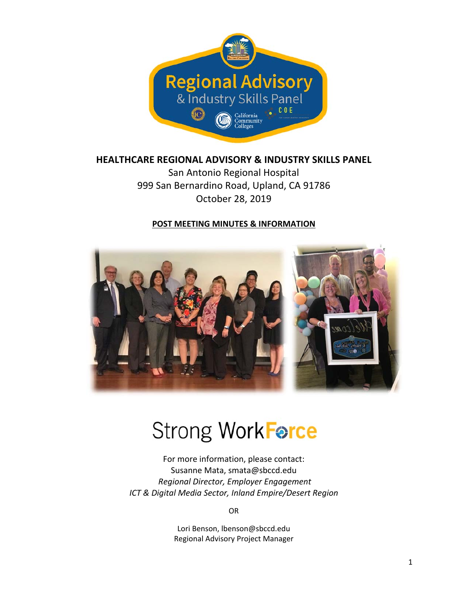

# **HEALTHCARE REGIONAL ADVISORY & INDUSTRY SKILLS PANEL**

San Antonio Regional Hospital 999 San Bernardino Road, Upland, CA 91786 October 28, 2019

# **POST MEETING MINUTES & INFORMATION**



# Strong WorkForce

For more information, please contact: Susanne Mata, smata@sbccd.edu *Regional Director, Employer Engagement ICT & Digital Media Sector, Inland Empire/Desert Region* 

OR

Lori Benson, lbenson@sbccd.edu Regional Advisory Project Manager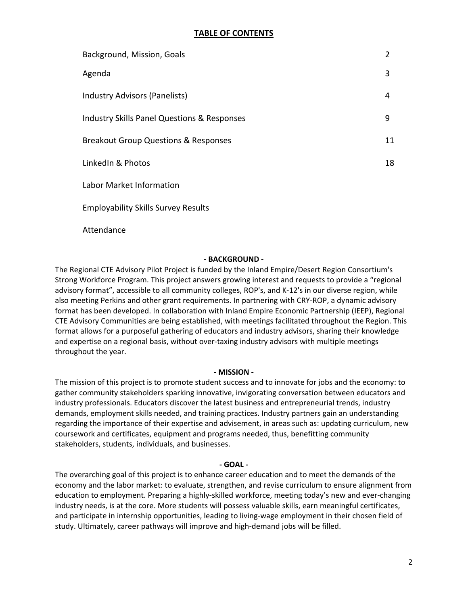#### **TABLE OF CONTENTS**

| Background, Mission, Goals                             | 2  |
|--------------------------------------------------------|----|
| Agenda                                                 | 3  |
| Industry Advisors (Panelists)                          | 4  |
| <b>Industry Skills Panel Questions &amp; Responses</b> | 9  |
| <b>Breakout Group Questions &amp; Responses</b>        | 11 |
| LinkedIn & Photos                                      | 18 |
| Labor Market Information                               |    |
|                                                        |    |

Attendance and the set of the set of the set of the set of the set of the set of the set of the set of the set of the set of the set of the set of the set of the set of the set of the set of the set of the set of the set o

Employability Skills Survey Results

#### **‐ BACKGROUND ‐**

The Regional CTE Advisory Pilot Project is funded by the Inland Empire/Desert Region Consortium's Strong Workforce Program. This project answers growing interest and requests to provide a "regional advisory format", accessible to all community colleges, ROP's, and K-12's in our diverse region, while also meeting Perkins and other grant requirements. In partnering with CRY‐ROP, a dynamic advisory format has been developed. In collaboration with Inland Empire Economic Partnership (IEEP), Regional CTE Advisory Communities are being established, with meetings facilitated throughout the Region. This format allows for a purposeful gathering of educators and industry advisors, sharing their knowledge and expertise on a regional basis, without over-taxing industry advisors with multiple meetings throughout the year.

#### **‐ MISSION ‐**

The mission of this project is to promote student success and to innovate for jobs and the economy: to gather community stakeholders sparking innovative, invigorating conversation between educators and industry professionals. Educators discover the latest business and entrepreneurial trends, industry demands, employment skills needed, and training practices. Industry partners gain an understanding regarding the importance of their expertise and advisement, in areas such as: updating curriculum, new coursework and certificates, equipment and programs needed, thus, benefitting community stakeholders, students, individuals, and businesses.

#### **‐ GOAL ‐**

The overarching goal of this project is to enhance career education and to meet the demands of the economy and the labor market: to evaluate, strengthen, and revise curriculum to ensure alignment from education to employment. Preparing a highly‐skilled workforce, meeting today's new and ever‐changing industry needs, is at the core. More students will possess valuable skills, earn meaningful certificates, and participate in internship opportunities, leading to living‐wage employment in their chosen field of study. Ultimately, career pathways will improve and high‐demand jobs will be filled.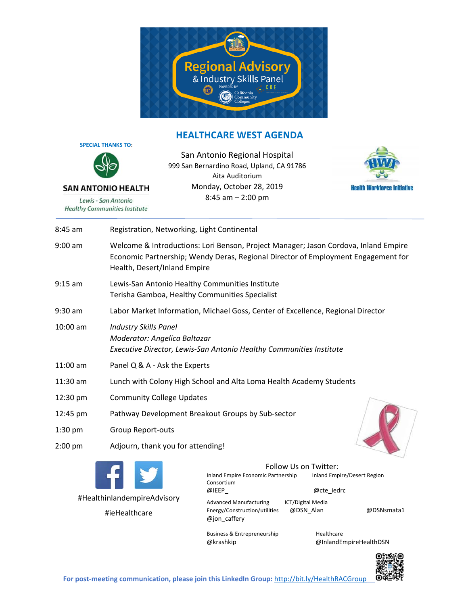

# **HEALTHCARE WEST AGENDA**





Lewis - San Antonio **Healthy Communities Institute** 

San Antonio Regional Hospital 999 San Bernardino Road, Upland, CA 91786 Aita Auditorium Monday, October 28, 2019 8:45 am – 2:00 pm

 $\overline{a}$ 



| $8:45$ am  | Registration, Networking, Light Continental                                                                                                                                                              |
|------------|----------------------------------------------------------------------------------------------------------------------------------------------------------------------------------------------------------|
| $9:00$ am  | Welcome & Introductions: Lori Benson, Project Manager; Jason Cordova, Inland Empire<br>Economic Partnership; Wendy Deras, Regional Director of Employment Engagement for<br>Health, Desert/Inland Empire |
| $9:15$ am  | Lewis-San Antonio Healthy Communities Institute<br>Terisha Gamboa, Healthy Communities Specialist                                                                                                        |
| $9:30$ am  | Labor Market Information, Michael Goss, Center of Excellence, Regional Director                                                                                                                          |
| $10:00$ am | <b>Industry Skills Panel</b><br>Moderator: Angelica Baltazar<br>Executive Director, Lewis-San Antonio Healthy Communities Institute                                                                      |
| $11:00$ am | Panel Q & A - Ask the Experts                                                                                                                                                                            |
| $11:30$ am | Lunch with Colony High School and Alta Loma Health Academy Students                                                                                                                                      |
| 12:30 pm   | <b>Community College Updates</b>                                                                                                                                                                         |
| 12:45 pm   | Pathway Development Breakout Groups by Sub-sector                                                                                                                                                        |
| $1:30$ pm  | <b>Group Report-outs</b>                                                                                                                                                                                 |
| $2:00$ pm  | Adjourn, thank you for attending!                                                                                                                                                                        |



 Follow Us on Twitter: Inland Empire Economic Partnership Inland Empire/Desert Region Consortium @IEEP\_ @cte\_iedrc Advanced Manufacturing ICT/Digital Media Energy/Construction/utilities @DSN\_Alan @DSNsmata1 @jon\_caffery

Business & Entrepreneurship **Business & Entrepreneurship** 

@krashkip @InlandEmpireHealthDSN

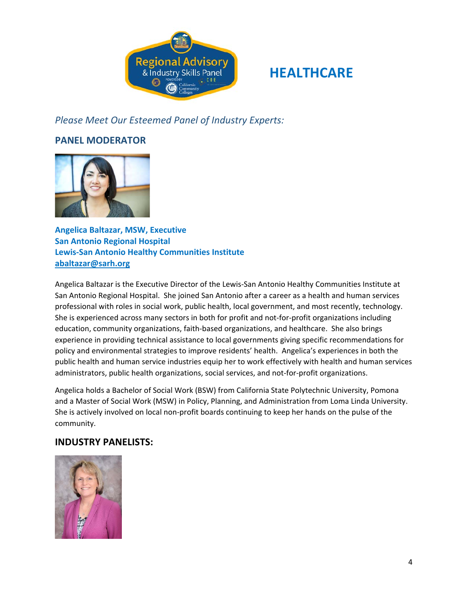

# **HEALTHCARE**

*Please Meet Our Esteemed Panel of Industry Experts:* 

# **PANEL MODERATOR**



**Angelica Baltazar, MSW, Executive San Antonio Regional Hospital Lewis‐San Antonio Healthy Communities Institute abaltazar@sarh.org** 

Angelica Baltazar is the Executive Director of the Lewis‐San Antonio Healthy Communities Institute at San Antonio Regional Hospital. She joined San Antonio after a career as a health and human services professional with roles in social work, public health, local government, and most recently, technology. She is experienced across many sectors in both for profit and not-for-profit organizations including education, community organizations, faith‐based organizations, and healthcare. She also brings experience in providing technical assistance to local governments giving specific recommendations for policy and environmental strategies to improve residents' health. Angelica's experiences in both the public health and human service industries equip her to work effectively with health and human services administrators, public health organizations, social services, and not‐for‐profit organizations.

Angelica holds a Bachelor of Social Work (BSW) from California State Polytechnic University, Pomona and a Master of Social Work (MSW) in Policy, Planning, and Administration from Loma Linda University. She is actively involved on local non‐profit boards continuing to keep her hands on the pulse of the community.

# **INDUSTRY PANELISTS:**

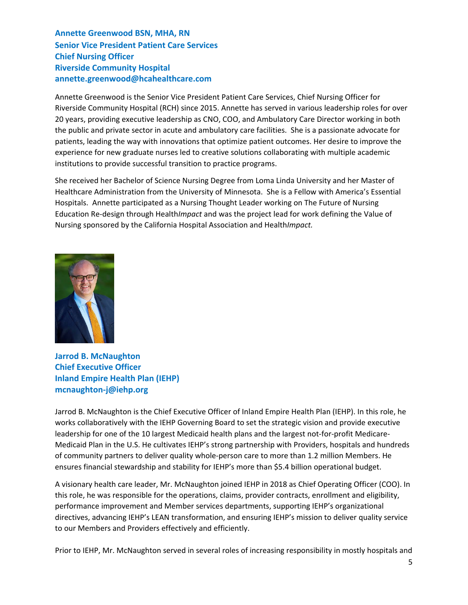# **Annette Greenwood BSN, MHA, RN Senior Vice President Patient Care Services Chief Nursing Officer Riverside Community Hospital annette.greenwood@hcahealthcare.com**

Annette Greenwood is the Senior Vice President Patient Care Services, Chief Nursing Officer for Riverside Community Hospital (RCH) since 2015. Annette has served in various leadership roles for over 20 years, providing executive leadership as CNO, COO, and Ambulatory Care Director working in both the public and private sector in acute and ambulatory care facilities. She is a passionate advocate for patients, leading the way with innovations that optimize patient outcomes. Her desire to improve the experience for new graduate nurses led to creative solutions collaborating with multiple academic institutions to provide successful transition to practice programs.

She received her Bachelor of Science Nursing Degree from Loma Linda University and her Master of Healthcare Administration from the University of Minnesota. She is a Fellow with America's Essential Hospitals. Annette participated as a Nursing Thought Leader working on The Future of Nursing Education Re‐design through Health*Impact* and was the project lead for work defining the Value of Nursing sponsored by the California Hospital Association and Health*Impact.* 



**Jarrod B. McNaughton Chief Executive Officer Inland Empire Health Plan (IEHP) mcnaughton‐j@iehp.org** 

Jarrod B. McNaughton is the Chief Executive Officer of Inland Empire Health Plan (IEHP). In this role, he works collaboratively with the IEHP Governing Board to set the strategic vision and provide executive leadership for one of the 10 largest Medicaid health plans and the largest not‐for‐profit Medicare‐ Medicaid Plan in the U.S. He cultivates IEHP's strong partnership with Providers, hospitals and hundreds of community partners to deliver quality whole‐person care to more than 1.2 million Members. He ensures financial stewardship and stability for IEHP's more than \$5.4 billion operational budget.

A visionary health care leader, Mr. McNaughton joined IEHP in 2018 as Chief Operating Officer (COO). In this role, he was responsible for the operations, claims, provider contracts, enrollment and eligibility, performance improvement and Member services departments, supporting IEHP's organizational directives, advancing IEHP's LEAN transformation, and ensuring IEHP's mission to deliver quality service to our Members and Providers effectively and efficiently.

Prior to IEHP, Mr. McNaughton served in several roles of increasing responsibility in mostly hospitals and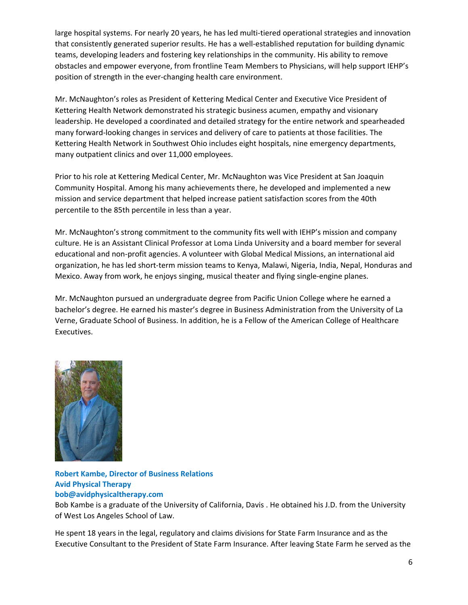large hospital systems. For nearly 20 years, he has led multi-tiered operational strategies and innovation that consistently generated superior results. He has a well‐established reputation for building dynamic teams, developing leaders and fostering key relationships in the community. His ability to remove obstacles and empower everyone, from frontline Team Members to Physicians, will help support IEHP's position of strength in the ever‐changing health care environment.

Mr. McNaughton's roles as President of Kettering Medical Center and Executive Vice President of Kettering Health Network demonstrated his strategic business acumen, empathy and visionary leadership. He developed a coordinated and detailed strategy for the entire network and spearheaded many forward‐looking changes in services and delivery of care to patients at those facilities. The Kettering Health Network in Southwest Ohio includes eight hospitals, nine emergency departments, many outpatient clinics and over 11,000 employees.

Prior to his role at Kettering Medical Center, Mr. McNaughton was Vice President at San Joaquin Community Hospital. Among his many achievements there, he developed and implemented a new mission and service department that helped increase patient satisfaction scores from the 40th percentile to the 85th percentile in less than a year.

Mr. McNaughton's strong commitment to the community fits well with IEHP's mission and company culture. He is an Assistant Clinical Professor at Loma Linda University and a board member for several educational and non‐profit agencies. A volunteer with Global Medical Missions, an international aid organization, he has led short‐term mission teams to Kenya, Malawi, Nigeria, India, Nepal, Honduras and Mexico. Away from work, he enjoys singing, musical theater and flying single‐engine planes.

Mr. McNaughton pursued an undergraduate degree from Pacific Union College where he earned a bachelor's degree. He earned his master's degree in Business Administration from the University of La Verne, Graduate School of Business. In addition, he is a Fellow of the American College of Healthcare Executives.



**Robert Kambe, Director of Business Relations Avid Physical Therapy bob@avidphysicaltherapy.com** 

Bob Kambe is a graduate of the University of California, Davis . He obtained his J.D. from the University of West Los Angeles School of Law.

He spent 18 years in the legal, regulatory and claims divisions for State Farm Insurance and as the Executive Consultant to the President of State Farm Insurance. After leaving State Farm he served as the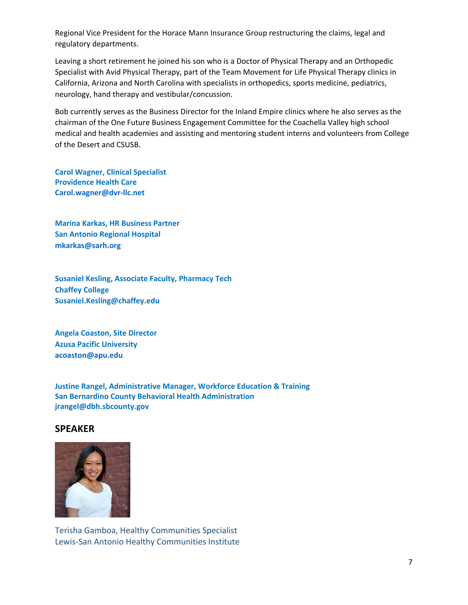Regional Vice President for the Horace Mann Insurance Group restructuring the claims, legal and regulatory departments.

Leaving a short retirement he joined his son who is a Doctor of Physical Therapy and an Orthopedic Specialist with Avid Physical Therapy, part of the Team Movement for Life Physical Therapy clinics in California, Arizona and North Carolina with specialists in orthopedics, sports medicine, pediatrics, neurology, hand therapy and vestibular/concussion.

Bob currently serves as the Business Director for the Inland Empire clinics where he also serves as the chairman of the One Future Business Engagement Committee for the Coachella Valley high school medical and health academies and assisting and mentoring student interns and volunteers from College of the Desert and CSUSB.

**Carol Wagner, Clinical Specialist Providence Health Care Carol.wagner@dvr‐llc.net**

**Marina Karkas, HR Business Partner San Antonio Regional Hospital mkarkas@sarh.org**

**Susaniel Kesling, Associate Faculty, Pharmacy Tech Chaffey College Susaniel.Kesling@chaffey.edu** 

**Angela Coaston, Site Director Azusa Pacific University acoaston@apu.edu**

**Justine Rangel, Administrative Manager, Workforce Education & Training San Bernardino County Behavioral Health Administration jrangel@dbh.sbcounty.gov** 

#### **SPEAKER**



Terisha Gamboa, Healthy Communities Specialist Lewis‐San Antonio Healthy Communities Institute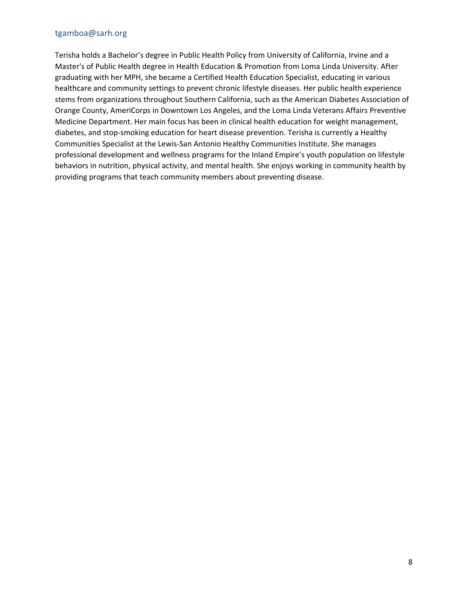#### tgamboa@sarh.org

Terisha holds a Bachelor's degree in Public Health Policy from University of California, Irvine and a Master's of Public Health degree in Health Education & Promotion from Loma Linda University. After graduating with her MPH, she became a Certified Health Education Specialist, educating in various healthcare and community settings to prevent chronic lifestyle diseases. Her public health experience stems from organizations throughout Southern California, such as the American Diabetes Association of Orange County, AmeriCorps in Downtown Los Angeles, and the Loma Linda Veterans Affairs Preventive Medicine Department. Her main focus has been in clinical health education for weight management, diabetes, and stop-smoking education for heart disease prevention. Terisha is currently a Healthy Communities Specialist at the Lewis‐San Antonio Healthy Communities Institute. She manages professional development and wellness programs for the Inland Empire's youth population on lifestyle behaviors in nutrition, physical activity, and mental health. She enjoys working in community health by providing programs that teach community members about preventing disease.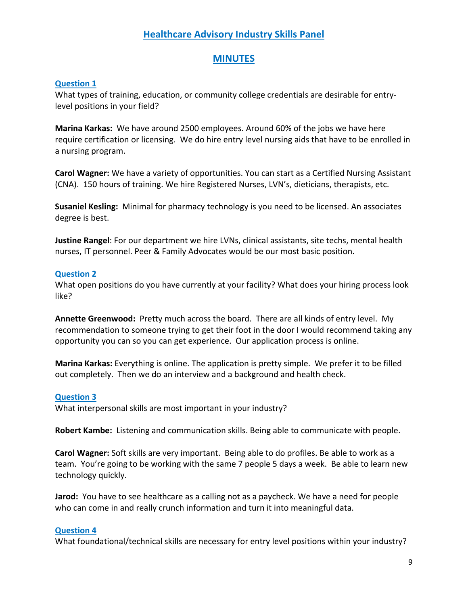# **Healthcare Advisory Industry Skills Panel**

# **MINUTES**

### **Question 1**

What types of training, education, or community college credentials are desirable for entry‐ level positions in your field?

**Marina Karkas:** We have around 2500 employees. Around 60% of the jobs we have here require certification or licensing. We do hire entry level nursing aids that have to be enrolled in a nursing program.

**Carol Wagner:** We have a variety of opportunities. You can start as a Certified Nursing Assistant (CNA). 150 hours of training. We hire Registered Nurses, LVN's, dieticians, therapists, etc.

**Susaniel Kesling:** Minimal for pharmacy technology is you need to be licensed. An associates degree is best.

**Justine Rangel**: For our department we hire LVNs, clinical assistants, site techs, mental health nurses, IT personnel. Peer & Family Advocates would be our most basic position.

### **Question 2**

What open positions do you have currently at your facility? What does your hiring process look like?

Annette Greenwood: Pretty much across the board. There are all kinds of entry level. My recommendation to someone trying to get their foot in the door I would recommend taking any opportunity you can so you can get experience. Our application process is online.

**Marina Karkas:** Everything is online. The application is pretty simple. We prefer it to be filled out completely. Then we do an interview and a background and health check.

### **Question 3**

What interpersonal skills are most important in your industry?

**Robert Kambe:** Listening and communication skills. Being able to communicate with people.

**Carol Wagner:** Soft skills are very important. Being able to do profiles. Be able to work as a team. You're going to be working with the same 7 people 5 days a week. Be able to learn new technology quickly.

**Jarod:** You have to see healthcare as a calling not as a paycheck. We have a need for people who can come in and really crunch information and turn it into meaningful data.

#### **Question 4**

What foundational/technical skills are necessary for entry level positions within your industry?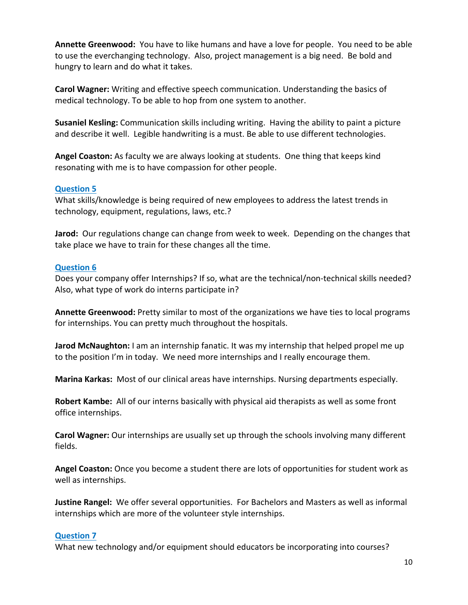**Annette Greenwood:** You have to like humans and have a love for people. You need to be able to use the everchanging technology. Also, project management is a big need. Be bold and hungry to learn and do what it takes.

**Carol Wagner:** Writing and effective speech communication. Understanding the basics of medical technology. To be able to hop from one system to another.

**Susaniel Kesling:** Communication skills including writing. Having the ability to paint a picture and describe it well. Legible handwriting is a must. Be able to use different technologies.

**Angel Coaston:** As faculty we are always looking at students. One thing that keeps kind resonating with me is to have compassion for other people.

# **Question 5**

What skills/knowledge is being required of new employees to address the latest trends in technology, equipment, regulations, laws, etc.?

**Jarod:** Our regulations change can change from week to week. Depending on the changes that take place we have to train for these changes all the time.

# **Question 6**

Does your company offer Internships? If so, what are the technical/non-technical skills needed? Also, what type of work do interns participate in?

**Annette Greenwood:** Pretty similar to most of the organizations we have ties to local programs for internships. You can pretty much throughout the hospitals.

**Jarod McNaughton:** I am an internship fanatic. It was my internship that helped propel me up to the position I'm in today. We need more internships and I really encourage them.

**Marina Karkas:** Most of our clinical areas have internships. Nursing departments especially.

**Robert Kambe:** All of our interns basically with physical aid therapists as well as some front office internships.

**Carol Wagner:** Our internships are usually set up through the schools involving many different fields.

**Angel Coaston:** Once you become a student there are lots of opportunities for student work as well as internships.

**Justine Rangel:** We offer several opportunities. For Bachelors and Masters as well as informal internships which are more of the volunteer style internships.

# **Question 7**

What new technology and/or equipment should educators be incorporating into courses?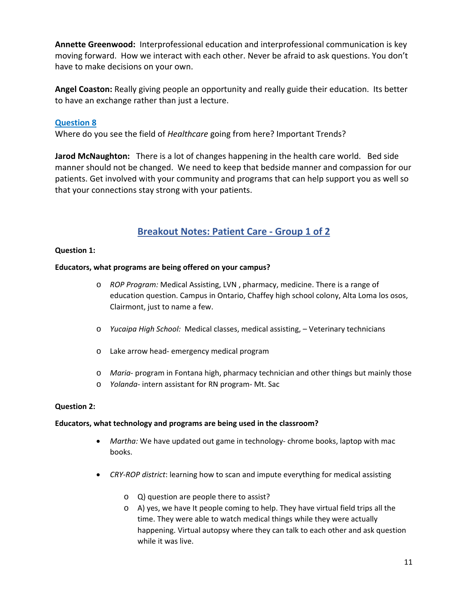**Annette Greenwood:**  Interprofessional education and interprofessional communication is key moving forward. How we interact with each other. Never be afraid to ask questions. You don't have to make decisions on your own.

**Angel Coaston:** Really giving people an opportunity and really guide their education. Its better to have an exchange rather than just a lecture.

# **Question 8**

Where do you see the field of *Healthcare* going from here? Important Trends?

**Jarod McNaughton:** There is a lot of changes happening in the health care world. Bed side manner should not be changed. We need to keep that bedside manner and compassion for our patients. Get involved with your community and programs that can help support you as well so that your connections stay strong with your patients.

# **Breakout Notes: Patient Care ‐ Group 1 of 2**

#### **Question 1:**

#### **Educators, what programs are being offered on your campus?**

- o *ROP Program:* Medical Assisting, LVN , pharmacy, medicine. There is a range of education question. Campus in Ontario, Chaffey high school colony, Alta Loma los osos, Clairmont, just to name a few.
- o *Yucaipa High School:* Medical classes, medical assisting, Veterinary technicians
- o Lake arrow head‐ emergency medical program
- o *Maria‐* program in Fontana high, pharmacy technician and other things but mainly those
- o *Yolanda‐* intern assistant for RN program‐ Mt. Sac

#### **Question 2:**

#### **Educators, what technology and programs are being used in the classroom?**

- *Martha:* We have updated out game in technology-chrome books, laptop with mac books.
- *CRY‐ROP district*: learning how to scan and impute everything for medical assisting
	- o Q) question are people there to assist?
	- o A) yes, we have It people coming to help. They have virtual field trips all the time. They were able to watch medical things while they were actually happening. Virtual autopsy where they can talk to each other and ask question while it was live.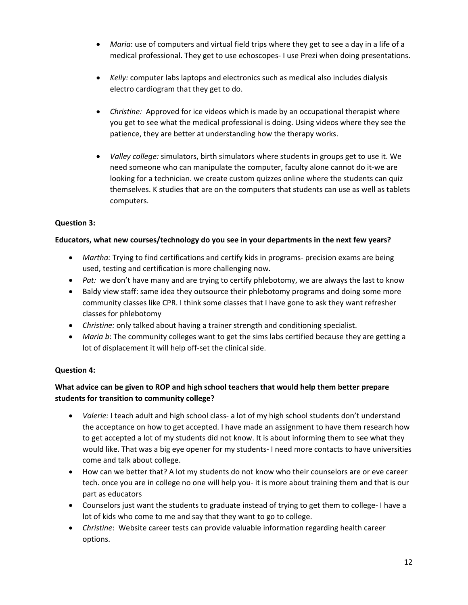- *Maria*: use of computers and virtual field trips where they get to see a day in a life of a medical professional. They get to use echoscopes‐ I use Prezi when doing presentations.
- *Kelly:* computer labs laptops and electronics such as medical also includes dialysis electro cardiogram that they get to do.
- *Christine:* Approved for ice videos which is made by an occupational therapist where you get to see what the medical professional is doing. Using videos where they see the patience, they are better at understanding how the therapy works.
- *Valley college:* simulators, birth simulators where students in groups get to use it. We need someone who can manipulate the computer, faculty alone cannot do it‐we are looking for a technician. we create custom quizzes online where the students can quiz themselves. K studies that are on the computers that students can use as well as tablets computers.

# **Question 3:**

### **Educators, what new courses/technology do you see in your departments in the next few years?**

- *Martha:* Trying to find certifications and certify kids in programs- precision exams are being used, testing and certification is more challenging now.
- *Pat:* we don't have many and are trying to certify phlebotomy, we are always the last to know
- Baldy view staff: same idea they outsource their phlebotomy programs and doing some more community classes like CPR. I think some classes that I have gone to ask they want refresher classes for phlebotomy
- *Christine:* only talked about having a trainer strength and conditioning specialist.
- *Maria b*: The community colleges want to get the sims labs certified because they are getting a lot of displacement it will help off‐set the clinical side.

# **Question 4:**

# **What advice can be given to ROP and high school teachers that would help them better prepare students for transition to community college?**

- *Valerie:* I teach adult and high school class- a lot of my high school students don't understand the acceptance on how to get accepted. I have made an assignment to have them research how to get accepted a lot of my students did not know. It is about informing them to see what they would like. That was a big eye opener for my students- I need more contacts to have universities come and talk about college.
- How can we better that? A lot my students do not know who their counselors are or eve career tech. once you are in college no one will help you‐ it is more about training them and that is our part as educators
- Counselors just want the students to graduate instead of trying to get them to college- I have a lot of kids who come to me and say that they want to go to college.
- *Christine*: Website career tests can provide valuable information regarding health career options.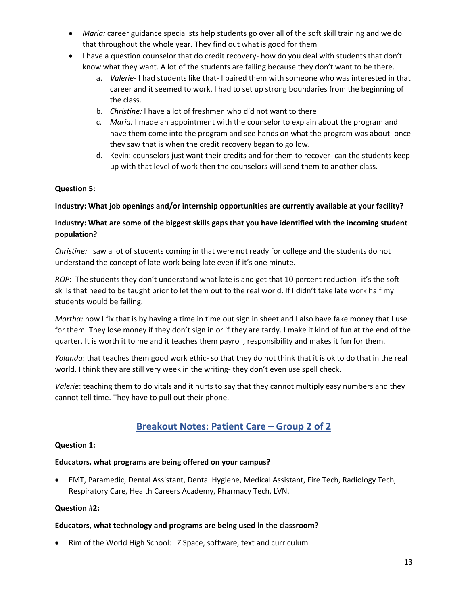- *Maria:* career guidance specialists help students go over all of the soft skill training and we do that throughout the whole year. They find out what is good for them
- I have a question counselor that do credit recovery- how do you deal with students that don't know what they want. A lot of the students are failing because they don't want to be there.
	- a. *Valerie‐* I had students like that‐ I paired them with someone who was interested in that career and it seemed to work. I had to set up strong boundaries from the beginning of the class.
	- b. *Christine:* I have a lot of freshmen who did not want to there
	- c. *Maria:* I made an appointment with the counselor to explain about the program and have them come into the program and see hands on what the program was about‐ once they saw that is when the credit recovery began to go low.
	- d. Kevin: counselors just want their credits and for them to recover‐ can the students keep up with that level of work then the counselors will send them to another class.

### **Question 5:**

### **Industry: What job openings and/or internship opportunities are currently available at your facility?**

# **Industry: What are some of the biggest skills gaps that you have identified with the incoming student population?**

*Christine:* I saw a lot of students coming in that were not ready for college and the students do not understand the concept of late work being late even if it's one minute.

*ROP*: The students they don't understand what late is and get that 10 percent reduction- it's the soft skills that need to be taught prior to let them out to the real world. If I didn't take late work half my students would be failing.

*Martha:* how I fix that is by having a time in time out sign in sheet and I also have fake money that I use for them. They lose money if they don't sign in or if they are tardy. I make it kind of fun at the end of the quarter. It is worth it to me and it teaches them payroll, responsibility and makes it fun for them.

*Yolanda*: that teaches them good work ethic‐ so that they do not think that it is ok to do that in the real world. I think they are still very week in the writing- they don't even use spell check.

*Valerie*: teaching them to do vitals and it hurts to say that they cannot multiply easy numbers and they cannot tell time. They have to pull out their phone.

# **Breakout Notes: Patient Care – Group 2 of 2**

#### **Question 1:**

#### **Educators, what programs are being offered on your campus?**

 EMT, Paramedic, Dental Assistant, Dental Hygiene, Medical Assistant, Fire Tech, Radiology Tech, Respiratory Care, Health Careers Academy, Pharmacy Tech, LVN.

#### **Question #2:**

#### **Educators, what technology and programs are being used in the classroom?**

• Rim of the World High School: Z Space, software, text and curriculum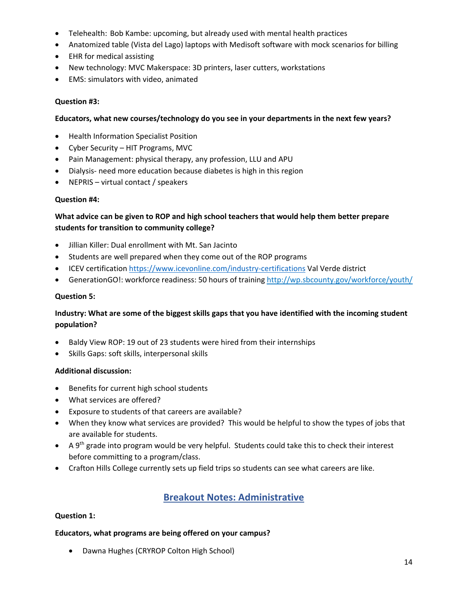- Telehealth: Bob Kambe: upcoming, but already used with mental health practices
- Anatomized table (Vista del Lago) laptops with Medisoft software with mock scenarios for billing
- EHR for medical assisting
- New technology: MVC Makerspace: 3D printers, laser cutters, workstations
- EMS: simulators with video, animated

#### **Question #3:**

#### **Educators, what new courses/technology do you see in your departments in the next few years?**

- Health Information Specialist Position
- Cyber Security HIT Programs, MVC
- Pain Management: physical therapy, any profession, LLU and APU
- Dialysis- need more education because diabetes is high in this region
- NEPRIS virtual contact / speakers

### **Question #4:**

# **What advice can be given to ROP and high school teachers that would help them better prepare students for transition to community college?**

- Jillian Killer: Dual enrollment with Mt. San Jacinto
- Students are well prepared when they come out of the ROP programs
- ICEV certification https://www.icevonline.com/industry-certifications Val Verde district
- GenerationGO!: workforce readiness: 50 hours of training http://wp.sbcounty.gov/workforce/youth/

### **Question 5:**

# **Industry: What are some of the biggest skills gaps that you have identified with the incoming student population?**

- Baldy View ROP: 19 out of 23 students were hired from their internships
- Skills Gaps: soft skills, interpersonal skills

### **Additional discussion:**

- Benefits for current high school students
- What services are offered?
- Exposure to students of that careers are available?
- When they know what services are provided? This would be helpful to show the types of jobs that are available for students.
- $\bullet$  A 9<sup>th</sup> grade into program would be very helpful. Students could take this to check their interest before committing to a program/class.
- Crafton Hills College currently sets up field trips so students can see what careers are like.

# **Breakout Notes: Administrative**

#### **Question 1:**

#### **Educators, what programs are being offered on your campus?**

Dawna Hughes (CRYROP Colton High School)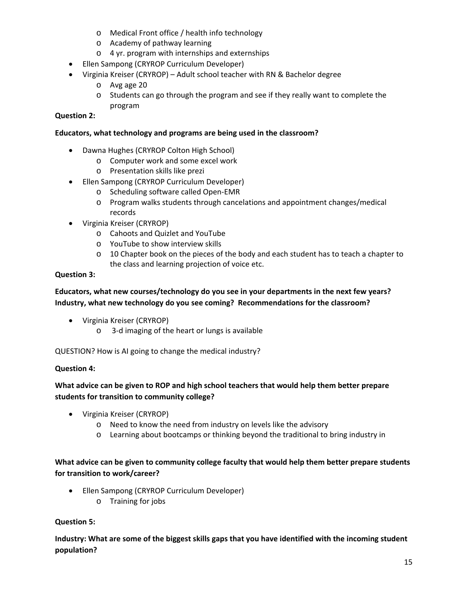- o Medical Front office / health info technology
- o Academy of pathway learning
- o 4 yr. program with internships and externships
- Ellen Sampong (CRYROP Curriculum Developer)
- Virginia Kreiser (CRYROP) Adult school teacher with RN & Bachelor degree
	- o Avg age 20
	- o Students can go through the program and see if they really want to complete the program

### **Question 2:**

#### **Educators, what technology and programs are being used in the classroom?**

- Dawna Hughes (CRYROP Colton High School)
	- o Computer work and some excel work
		- o Presentation skills like prezi
- Ellen Sampong (CRYROP Curriculum Developer)
	- o Scheduling software called Open‐EMR
	- o Program walks students through cancelations and appointment changes/medical records
- Virginia Kreiser (CRYROP)
	- o Cahoots and Quizlet and YouTube
	- o YouTube to show interview skills
	- o 10 Chapter book on the pieces of the body and each student has to teach a chapter to the class and learning projection of voice etc.

#### **Question 3:**

**Educators, what new courses/technology do you see in your departments in the next few years? Industry, what new technology do you see coming? Recommendations for the classroom?** 

- Virginia Kreiser (CRYROP)
	- o 3‐d imaging of the heart or lungs is available

QUESTION? How is AI going to change the medical industry?

### **Question 4:**

**What advice can be given to ROP and high school teachers that would help them better prepare students for transition to community college?** 

- Virginia Kreiser (CRYROP)
	- o Need to know the need from industry on levels like the advisory
	- o Learning about bootcamps or thinking beyond the traditional to bring industry in

# **What advice can be given to community college faculty that would help them better prepare students for transition to work/career?**

- Ellen Sampong (CRYROP Curriculum Developer)
	- o Training for jobs

### **Question 5:**

**Industry: What are some of the biggest skills gaps that you have identified with the incoming student population?**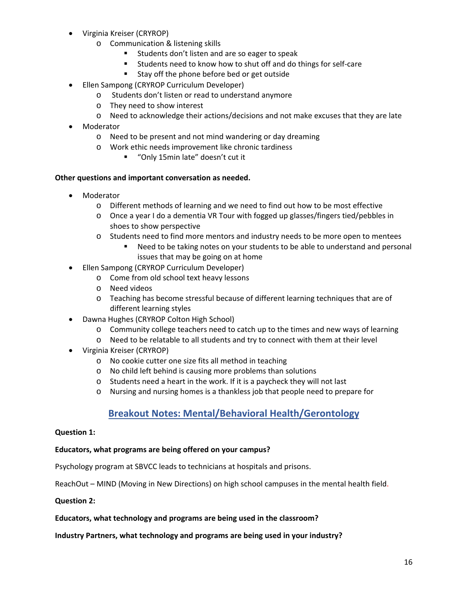- Virginia Kreiser (CRYROP)
	- o Communication & listening skills
		- **EXECT:** Students don't listen and are so eager to speak
		- Students need to know how to shut off and do things for self-care
		- **Stay off the phone before bed or get outside**
- Ellen Sampong (CRYROP Curriculum Developer)
	- o Students don't listen or read to understand anymore
	- o They need to show interest
	- o Need to acknowledge their actions/decisions and not make excuses that they are late
- Moderator
	- o Need to be present and not mind wandering or day dreaming
	- o Work ethic needs improvement like chronic tardiness
		- "Only 15min late" doesn't cut it

#### **Other questions and important conversation as needed.**

- Moderator
	- o Different methods of learning and we need to find out how to be most effective
	- o Once a year I do a dementia VR Tour with fogged up glasses/fingers tied/pebbles in shoes to show perspective
	- $\circ$  Students need to find more mentors and industry needs to be more open to mentees
		- Need to be taking notes on your students to be able to understand and personal issues that may be going on at home
- Ellen Sampong (CRYROP Curriculum Developer)
	- o Come from old school text heavy lessons
	- o Need videos
	- o Teaching has become stressful because of different learning techniques that are of different learning styles
- Dawna Hughes (CRYROP Colton High School)
	- o Community college teachers need to catch up to the times and new ways of learning
	- o Need to be relatable to all students and try to connect with them at their level
- Virginia Kreiser (CRYROP)
	- o No cookie cutter one size fits all method in teaching
	- o No child left behind is causing more problems than solutions
	- o Students need a heart in the work. If it is a paycheck they will not last
	- o Nursing and nursing homes is a thankless job that people need to prepare for

# **Breakout Notes: Mental/Behavioral Health/Gerontology**

#### **Question 1:**

#### **Educators, what programs are being offered on your campus?**

Psychology program at SBVCC leads to technicians at hospitals and prisons.

ReachOut – MIND (Moving in New Directions) on high school campuses in the mental health field.

#### **Question 2:**

#### **Educators, what technology and programs are being used in the classroom?**

**Industry Partners, what technology and programs are being used in your industry?**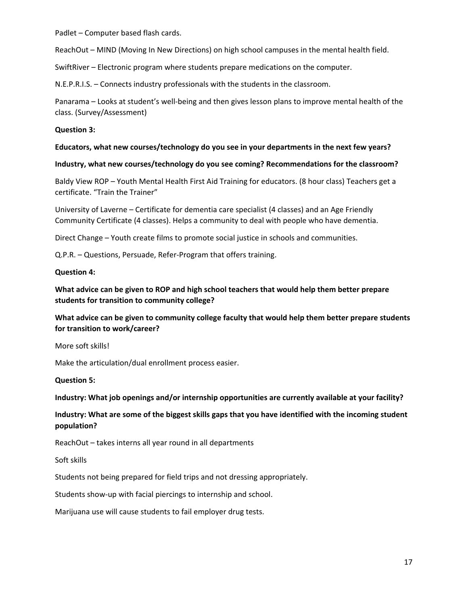Padlet – Computer based flash cards.

ReachOut – MIND (Moving In New Directions) on high school campuses in the mental health field.

SwiftRiver – Electronic program where students prepare medications on the computer.

N.E.P.R.I.S. – Connects industry professionals with the students in the classroom.

Panarama – Looks at student's well‐being and then gives lesson plans to improve mental health of the class. (Survey/Assessment)

#### **Question 3:**

#### **Educators, what new courses/technology do you see in your departments in the next few years?**

#### **Industry, what new courses/technology do you see coming? Recommendations for the classroom?**

Baldy View ROP – Youth Mental Health First Aid Training for educators. (8 hour class) Teachers get a certificate. "Train the Trainer"

University of Laverne – Certificate for dementia care specialist (4 classes) and an Age Friendly Community Certificate (4 classes). Helps a community to deal with people who have dementia.

Direct Change – Youth create films to promote social justice in schools and communities.

Q.P.R. – Questions, Persuade, Refer‐Program that offers training.

#### **Question 4:**

**What advice can be given to ROP and high school teachers that would help them better prepare students for transition to community college?** 

### **What advice can be given to community college faculty that would help them better prepare students for transition to work/career?**

More soft skills!

Make the articulation/dual enrollment process easier.

#### **Question 5:**

#### **Industry: What job openings and/or internship opportunities are currently available at your facility?**

### **Industry: What are some of the biggest skills gaps that you have identified with the incoming student population?**

ReachOut – takes interns all year round in all departments

Soft skills

Students not being prepared for field trips and not dressing appropriately.

Students show‐up with facial piercings to internship and school.

Marijuana use will cause students to fail employer drug tests.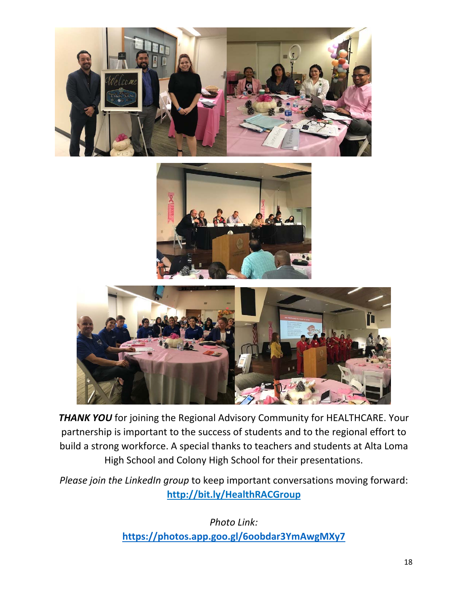





**THANK YOU** for joining the Regional Advisory Community for HEALTHCARE. Your partnership is important to the success of students and to the regional effort to build a strong workforce. A special thanks to teachers and students at Alta Loma High School and Colony High School for their presentations.

*Please join the LinkedIn group* to keep important conversations moving forward: **http://bit.ly/HealthRACGroup** 

> *Photo Link:*  **https://photos.app.goo.gl/6oobdar3YmAwgMXy7**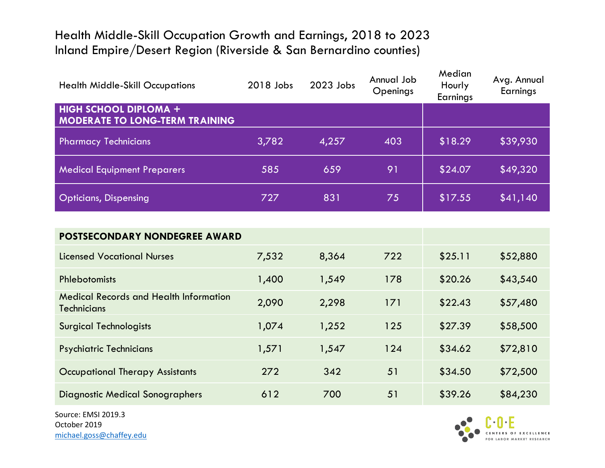# Health Middle-Skill Occupation Growth and Earnings, 2018 to 2023 Inland Empire/Desert Region (Riverside & San Bernardino counties)

| <b>Health Middle-Skill Occupations</b>                                | 2018 Jobs | 2023 Jobs | Annual Job<br>Openings | Median<br>Hourly<br>Earnings | Avg. Annual<br>Earnings |
|-----------------------------------------------------------------------|-----------|-----------|------------------------|------------------------------|-------------------------|
| <b>HIGH SCHOOL DIPLOMA +</b><br><b>MODERATE TO LONG-TERM TRAINING</b> |           |           |                        |                              |                         |
| <b>Pharmacy Technicians</b>                                           | 3,782     | 4,257     | 403                    | \$18.29                      | \$39,930                |
| <b>Medical Equipment Preparers</b>                                    | 585       | 659       | 91                     | \$24.07                      | \$49,320                |
| <b>Opticians, Dispensing</b>                                          | 727       | 831       | 75                     | \$17.55                      | \$41,140                |

| <b>POSTSECONDARY NONDEGREE AWARD</b>                                |       |       |     |         |          |  |
|---------------------------------------------------------------------|-------|-------|-----|---------|----------|--|
| <b>Licensed Vocational Nurses</b>                                   | 7,532 | 8,364 | 722 | \$25.11 | \$52,880 |  |
| Phlebotomists                                                       | 1,400 | 1,549 | 178 | \$20.26 | \$43,540 |  |
| <b>Medical Records and Health Information</b><br><b>Technicians</b> | 2,090 | 2,298 | 171 | \$22.43 | \$57,480 |  |
| <b>Surgical Technologists</b>                                       | 1,074 | 1,252 | 125 | \$27.39 | \$58,500 |  |
| <b>Psychiatric Technicians</b>                                      | 1,571 | 1,547 | 124 | \$34.62 | \$72,810 |  |
| <b>Occupational Therapy Assistants</b>                              | 272   | 342   | 51  | \$34.50 | \$72,500 |  |
| <b>Diagnostic Medical Sonographers</b>                              | 612   | 700   | 51  | \$39.26 | \$84,230 |  |

Source: EMSI 2019.3 October 2019 [michael.goss@chaffey.edu](mailto:michael.goss@chaffey.edu)

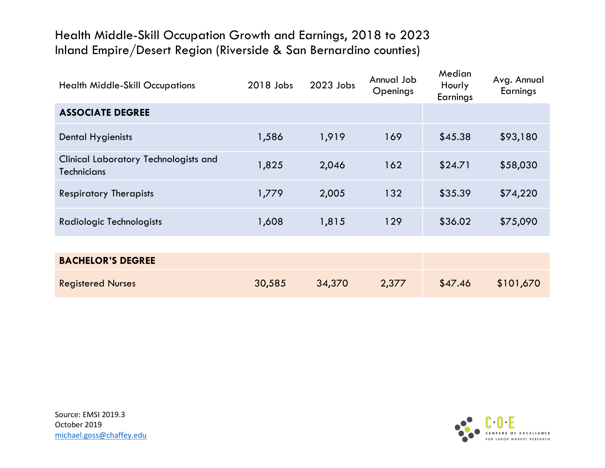# Health Middle-Skill Occupation Growth and Earnings, 2018 to 2023 Inland Empire/Desert Region (Riverside & San Bernardino counties)

| <b>Health Middle-Skill Occupations</b>                      | 2018 Jobs | 2023 Jobs | Annual Job<br>Openings | Median<br>Hourly<br>Earnings | Avg. Annual<br>Earnings |
|-------------------------------------------------------------|-----------|-----------|------------------------|------------------------------|-------------------------|
| <b>ASSOCIATE DEGREE</b>                                     |           |           |                        |                              |                         |
| <b>Dental Hygienists</b>                                    | 1,586     | 1,919     | 169                    | \$45.38                      | \$93,180                |
| Clinical Laboratory Technologists and<br><b>Technicians</b> | 1,825     | 2,046     | 162                    | \$24.71                      | \$58,030                |
| <b>Respiratory Therapists</b>                               | 1,779     | 2,005     | 132                    | \$35.39                      | \$74,220                |
| <b>Radiologic Technologists</b>                             | 1,608     | 1,815     | 129                    | \$36.02                      | \$75,090                |
|                                                             |           |           |                        |                              |                         |
| <b>BACHELOR'S DEGREE</b>                                    |           |           |                        |                              |                         |
|                                                             |           |           |                        |                              |                         |

Registered Nurses 20,585 34,370 2,377 \$47.46 \$101,670

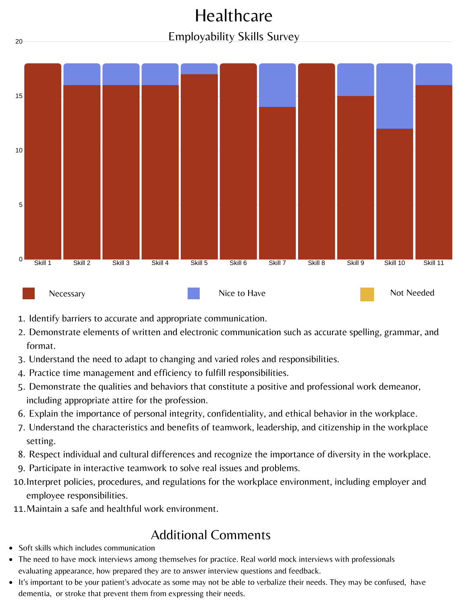

- 1. Identify barriers to accurate and appropriate communication.
- 2. Demonstrate elements of written and electronic communication such as accurate spelling, grammar, and format.
- Understand the need to adapt to changing and varied roles and responsibilities. 3.
- 4. Practice time management and efficiency to fulfill responsibilities.
- 5. Demonstrate the qualities and behaviors that constitute a positive and professional work demeanor, including appropriate attire for the profession.
- Explain the importance of personal integrity, confidentiality, and ethical behavior in the workplace. 6.
- 7. Understand the characteristics and benefits of teamwork, leadership, and citizenship in the workplace setting.
- Respect individual and cultural differences and recognize the importance of diversity in the workplace. 8.
- Participate in interactive teamwork to solve real issues and problems. 9.
- 10. Interpret policies, procedures, and regulations for the workplace environment, including employer and employee responsibilities.
- Maintain a safe and healthful work environment. 11.

# Additional Comments

- Soft skills which includes communication
- The need to have mock interviews among themselves for practice. Real world mock interviews with professionals evaluating appearance, how prepared they are to answer interview questions and feedback.
- It's important to be your patient's advocate as some may not be able to verbalize their needs. They may be confused, have dementia, or stroke that prevent them from expressing their needs.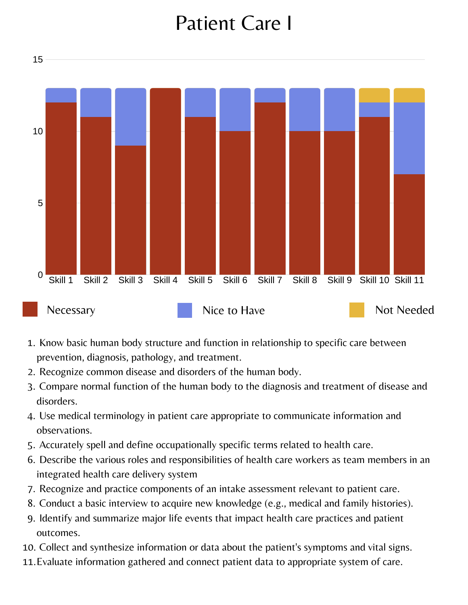# Patient Care I



- 1. Know basic human body structure and function in relationship to specific care between prevention, diagnosis, pathology, and treatment.
- 2. Recognize common disease and disorders of the human body.
- 3. Compare normal function of the human body to the diagnosis and treatment of disease and disorders.
- 4. Use medical terminology in patient care appropriate to communicate information and observations.
- Accurately spell and define occupationally specific terms related to health care. 5.
- 6. Describe the various roles and responsibilities of health care workers as team members in an integrated health care delivery system
- 7. Recognize and practice components of an intake assessment relevant to patient care.
- 8. Conduct a basic interview to acquire new knowledge (e.g., medical and family histories).
- 9. Identify and summarize major life events that impact health care practices and patient outcomes.
- 10. Collect and synthesize information or data about the patient's symptoms and vital signs.
- 11. Evaluate information gathered and connect patient data to appropriate system of care.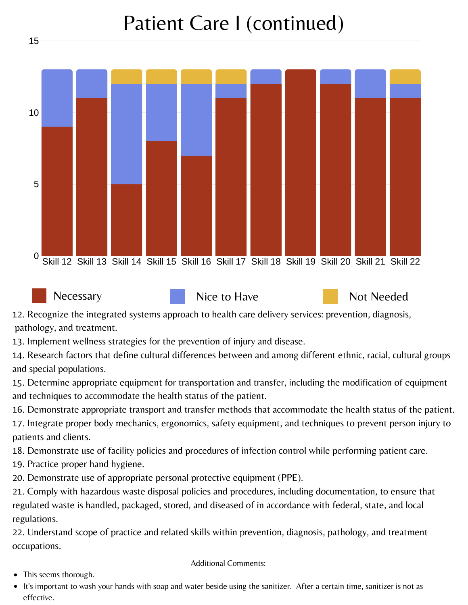# Patient Care I (continued)



15

Necessary Nice to Have Not Needed

12. Recognize the integrated systems approach to health care delivery services: prevention, diagnosis, pathology, and treatment.

13. Implement wellness strategies for the prevention of injury and disease.

14. Research factors that define cultural differences between and among different ethnic, racial, cultural groups and special populations.

15. Determine appropriate equipment for transportation and transfer, including the modification of equipment and techniques to accommodate the health status of the patient.

16. Demonstrate appropriate transport and transfer methods that accommodate the health status of the patient.

17. Integrate proper body mechanics, ergonomics, safety equipment, and techniques to prevent person injury to patients and clients.

18. Demonstrate use of facility policies and procedures of infection control while performing patient care.

19. Practice proper hand hygiene.

20. Demonstrate use of appropriate personal protective equipment (PPE).

21. Comply with hazardous waste disposal policies and procedures, including documentation, to ensure that regulated waste is handled, packaged, stored, and diseased of in accordance with federal, state, and local regulations.

22. Understand scope of practice and related skills within prevention, diagnosis, pathology, and treatment occupations.

• This seems thorough.

# Additional Comments:

It's important to wash your hands with soap and water beside using the sanitizer. After a certain time, sanitizer is not as effective.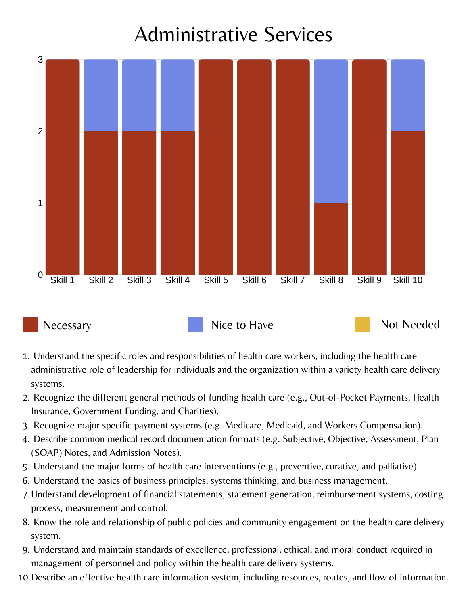# Administrative Services



- 1. Understand the specific roles and responsibilities of health care workers, including the health care administrative role of leadership for individuals and the organization within a variety health care delivery systems.
- 2. Recognize the different general methods of funding health care (e.g., Out-of-Pocket Payments, Health Insurance, Government Funding, and Charities).
- 3. Recognize major specific payment systems (e.g. Medicare, Medicaid, and Workers Compensation).
- Describe common medical record documentation formats (e.g. Subjective, Objective, Assessment, Plan 4. (SOAP) Notes, and Admission Notes).
- 5. Understand the major forms of health care interventions (e.g., preventive, curative, and palliative).
- 6. Understand the basics of business principles, systems thinking, and business management.
- 7. Understand development of financial statements, statement generation, reimbursement systems, costing process, measurement and control.
- 8. Know the role and relationship of public policies and community engagement on the health care delivery system.
- 9. Understand and maintain standards of excellence, professional, ethical, and moral conduct required in management of personnel and policy within the health care delivery systems.
- 10. Describe an effective health care information system, including resources, routes, and flow of information.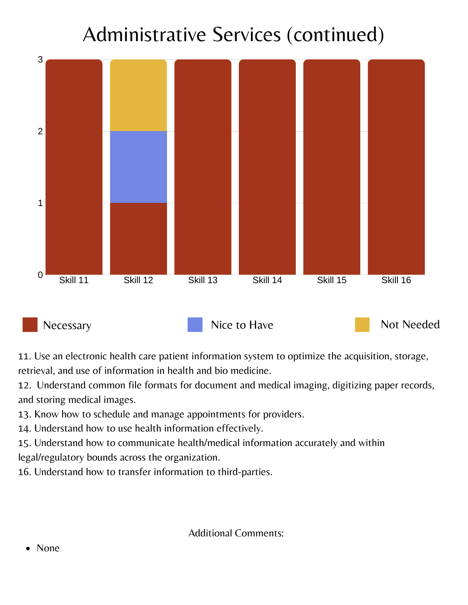# Administrative Services (continued)



11. Use an electronic health care patient information system to optimize the acquisition, storage, retrieval, and use of information in health and bio medicine.

12. Understand common file formats for document and medical imaging, digitizing paper records, and storing medical images.

13. Know how to schedule and manage appointments for providers.

14. Understand how to use health information effectively.

15. Understand how to communicate health/medical information accurately and within legal/regulatory bounds across the organization.

16. Understand how to transfer information to third-parties.

Additional Comments: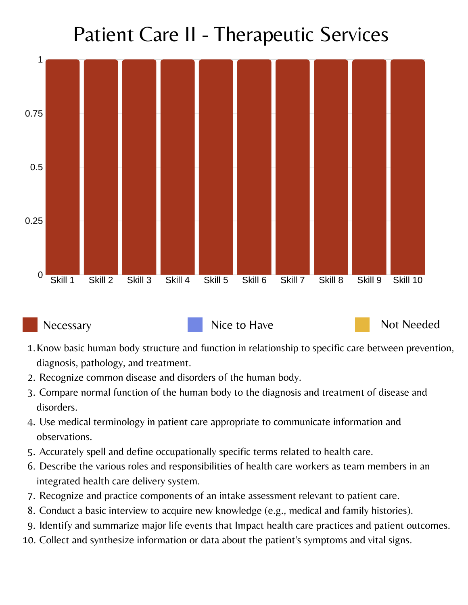# Patient Care II - Therapeutic Services



Necessary Nice to Have Not Needed

- 1. Know basic human body structure and function in relationship to specific care between prevention, diagnosis, pathology, and treatment.
- 2. Recognize common disease and disorders of the human body.
- 3. Compare normal function of the human body to the diagnosis and treatment of disease and disorders.
- 4. Use medical terminology in patient care appropriate to communicate information and observations.
- Accurately spell and define occupationally specific terms related to health care. 5.
- 6. Describe the various roles and responsibilities of health care workers as team members in an integrated health care delivery system.
- 7. Recognize and practice components of an intake assessment relevant to patient care.
- 8. Conduct a basic interview to acquire new knowledge (e.g., medical and family histories).
- 9. Identify and summarize major life events that Impact health care practices and patient outcomes.
- 10. Collect and synthesize information or data about the patient's symptoms and vital signs.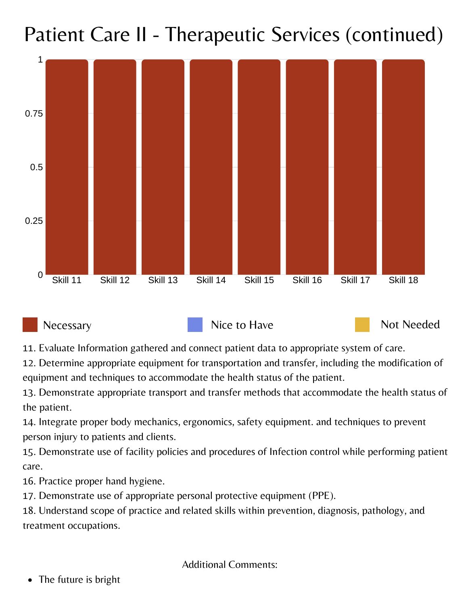# Patient Care II - Therapeutic Services (continued)





11. Evaluate Information gathered and connect patient data to appropriate system of care.

12. Determine appropriate equipment for transportation and transfer, including the modification of equipment and techniques to accommodate the health status of the patient.

13. Demonstrate appropriate transport and transfer methods that accommodate the health status of the patient.

14. Integrate proper body mechanics, ergonomics, safety equipment. and techniques to prevent person injury to patients and clients.

15. Demonstrate use of facility policies and procedures of Infection control while performing patient care.

16. Practice proper hand hygiene.

17. Demonstrate use of appropriate personal protective equipment (PPE).

18. Understand scope of practice and related skills within prevention, diagnosis, pathology, and treatment occupations.

Additional Comments: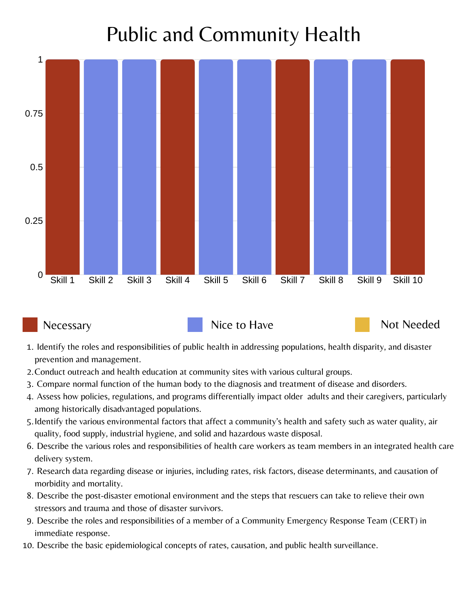# Public and Community Health



Necessary Nice to Have Not Needed

- 1. Identify the roles and responsibilities of public health in addressing populations, health disparity, and disaster prevention and management.
- 2. Conduct outreach and health education at community sites with various cultural groups.
- 3. Compare normal function of the human body to the diagnosis and treatment of disease and disorders.
- Assess how policies, regulations, and programs differentially impact older adults and their caregivers, particularly 4. among historically disadvantaged populations.
- 5. Identify the various environmental factors that affect a community's health and safety such as water quality, air quality, food supply, industrial hygiene, and solid and hazardous waste disposal.
- 6. Describe the various roles and responsibilities of health care workers as team members in an integrated health care delivery system.
- 7. Research data regarding disease or injuries, including rates, risk factors, disease determinants, and causation of morbidity and mortality.
- 8. Describe the post-disaster emotional environment and the steps that rescuers can take to relieve their own stressors and trauma and those of disaster survivors.
- 9. Describe the roles and responsibilities of a member of a Community Emergency Response Team (CERT) in immediate response.
- 10. Describe the basic epidemiological concepts of rates, causation, and public health surveillance.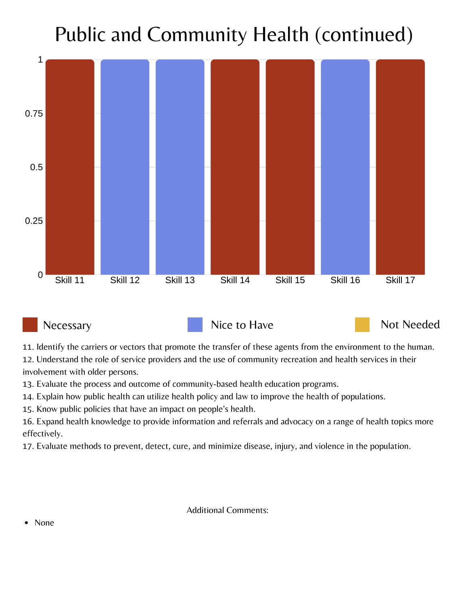# Public and Community Health (continued)





11. Identify the carriers or vectors that promote the transfer of these agents from the environment to the human.

12. Understand the role of service providers and the use of community recreation and health services in their involvement with older persons.

13. Evaluate the process and outcome of community-based health education programs.

14. Explain how public health can utilize health policy and law to improve the health of populations.

15. Know public policies that have an impact on people's health.

16. Expand health knowledge to provide information and referrals and advocacy on a range of health topics more effectively.

17. Evaluate methods to prevent, detect, cure, and minimize disease, injury, and violence in the population.

Additional Comments:

• None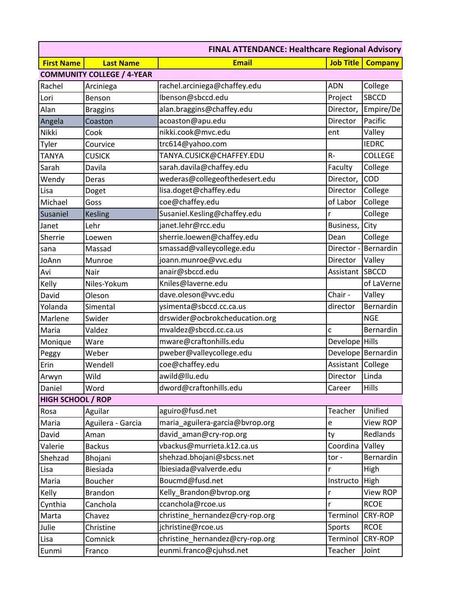|                          | <b>FINAL ATTENDANCE: Healthcare Regional Advisory</b> |                                 |                   |                    |  |
|--------------------------|-------------------------------------------------------|---------------------------------|-------------------|--------------------|--|
| <b>First Name</b>        | <b>Last Name</b>                                      | <b>Email</b>                    | <b>Job Title</b>  | <b>Company</b>     |  |
|                          | <b>COMMUNITY COLLEGE / 4-YEAR</b>                     |                                 |                   |                    |  |
| Rachel                   | Arciniega                                             | rachel.arciniega@chaffey.edu    | <b>ADN</b>        | College            |  |
| Lori                     | Benson                                                | lbenson@sbccd.edu               | Project           | <b>SBCCD</b>       |  |
| Alan                     | <b>Braggins</b>                                       | alan.braggins@chaffey.edu       | Director,         | Empire/De          |  |
| Angela                   | Coaston                                               | acoaston@apu.edu                | Director          | Pacific            |  |
| Nikki                    | Cook                                                  | nikki.cook@mvc.edu              | ent               | Valley             |  |
| Tyler                    | Courvice                                              | trc614@yahoo.com                |                   | <b>IEDRC</b>       |  |
| <b>TANYA</b>             | <b>CUSICK</b>                                         | TANYA.CUSICK@CHAFFEY.EDU        | $R -$             | <b>COLLEGE</b>     |  |
| Sarah                    | Davila                                                | sarah.davila@chaffey.edu        | Faculty           | College            |  |
| Wendy                    | Deras                                                 | wederas@collegeofthedesert.edu  | Director,         | COD                |  |
| Lisa                     | Doget                                                 | lisa.doget@chaffey.edu          | Director          | College            |  |
| Michael                  | Goss                                                  | coe@chaffey.edu                 | of Labor          | College            |  |
| Susaniel                 | <b>Kesling</b>                                        | Susaniel.Kesling@chaffey.edu    |                   | College            |  |
| Janet                    | Lehr                                                  | janet.lehr@rcc.edu              | Business,         | City               |  |
| Sherrie                  | Loewen                                                | sherrie.loewen@chaffey.edu      | Dean              | College            |  |
| sana                     | Massad                                                | smassad@valleycollege.edu       | Director -        | Bernardin          |  |
| JoAnn                    | Munroe                                                | joann.munroe@vvc.edu            | Director          | Valley             |  |
| Avi                      | Nair                                                  | anair@sbccd.edu                 | Assistant         | <b>SBCCD</b>       |  |
| Kelly                    | Niles-Yokum                                           | Kniles@laverne.edu              |                   | of LaVerne         |  |
| David                    | Oleson                                                | dave.oleson@vvc.edu             | Chair -           | Valley             |  |
| Yolanda                  | Simental                                              | ysimenta@sbccd.cc.ca.us         | director          | Bernardin          |  |
| Marlene                  | Swider                                                | drswider@ocbrokcheducation.org  |                   | <b>NGE</b>         |  |
| Maria                    | Valdez                                                | mvaldez@sbccd.cc.ca.us          | $\mathsf{C}$      | Bernardin          |  |
| Monique                  | Ware                                                  | mware@craftonhills.edu          | Develope Hills    |                    |  |
| Peggy                    | Weber                                                 | pweber@valleycollege.edu        |                   | Develope Bernardin |  |
| Erin                     | Wendell                                               | coe@chaffey.edu                 | Assistant College |                    |  |
| Arwyn                    | Wild                                                  | awild@llu.edu                   | Director          | Linda              |  |
| Daniel                   | Word                                                  | dword@craftonhills.edu          | Career            | <b>Hills</b>       |  |
| <b>HIGH SCHOOL / ROP</b> |                                                       |                                 |                   |                    |  |
| Rosa                     | Aguilar                                               | aguiro@fusd.net                 | Teacher           | Unified            |  |
| Maria                    | Aguilera - Garcia                                     | maria_aguilera-garcia@bvrop.org | e                 | View ROP           |  |
| David                    | Aman                                                  | david_aman@cry-rop.org          | ty                | Redlands           |  |
| Valerie                  | <b>Backus</b>                                         | vbackus@murrieta.k12.ca.us      | Coordina          | Valley             |  |
| Shehzad                  | Bhojani                                               | shehzad.bhojani@sbcss.net       | tor-              | Bernardin          |  |
| Lisa                     | <b>Biesiada</b>                                       | lbiesiada@valverde.edu          | r                 | High               |  |
| Maria                    | Boucher                                               | Boucmd@fusd.net                 | Instructo         | High               |  |
| Kelly                    | <b>Brandon</b>                                        | Kelly_Brandon@bvrop.org         | r                 | View ROP           |  |
| Cynthia                  | Canchola                                              | ccanchola@rcoe.us               | r                 | <b>RCOE</b>        |  |
| Marta                    | Chavez                                                | christine_hernandez@cry-rop.org | Terminol          | CRY-ROP            |  |
| Julie                    | Christine                                             | jchristine@rcoe.us              | Sports            | <b>RCOE</b>        |  |
| Lisa                     | Comnick                                               | christine_hernandez@cry-rop.org | Terminol          | <b>CRY-ROP</b>     |  |
| Eunmi                    | Franco                                                | eunmi.franco@cjuhsd.net         | Teacher           | Joint              |  |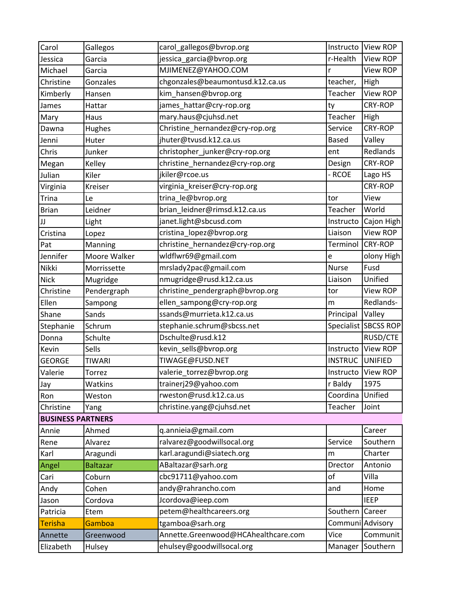| Carol                    | Gallegos        | carol_gallegos@bvrop.org            |                  | Instructo   View ROP |
|--------------------------|-----------------|-------------------------------------|------------------|----------------------|
| Jessica                  | Garcia          | jessica_garcia@bvrop.org            | r-Health         | View ROP             |
| Michael                  | Garcia          | MJIMENEZ@YAHOO.COM                  | r                | View ROP             |
| Christine                | Gonzales        | chgonzales@beaumontusd.k12.ca.us    | teacher,         | High                 |
| Kimberly                 | Hansen          | kim_hansen@bvrop.org                | Teacher          | View ROP             |
| James                    | Hattar          | james_hattar@cry-rop.org            | ty               | CRY-ROP              |
| Mary                     | Haus            | mary.haus@cjuhsd.net                | Teacher          | High                 |
| Dawna                    | Hughes          | Christine_hernandez@cry-rop.org     | Service          | CRY-ROP              |
| Jenni                    | Huter           | jhuter@tvusd.k12.ca.us              | <b>Based</b>     | Valley               |
| Chris                    | Junker          | christopher_junker@cry-rop.org      | ent              | Redlands             |
| Megan                    | Kelley          | christine_hernandez@cry-rop.org     | Design           | CRY-ROP              |
| Julian                   | Kiler           | jkiler@rcoe.us                      | - RCOE           | Lago HS              |
| Virginia                 | Kreiser         | virginia_kreiser@cry-rop.org        |                  | <b>CRY-ROP</b>       |
| <b>Trina</b>             | Le              | trina_le@bvrop.org                  | tor              | View                 |
| <b>Brian</b>             | Leidner         | brian_leidner@rimsd.k12.ca.us       | Teacher          | World                |
| JJ                       | Light           | janet.light@sbcusd.com              | Instructo        | Cajon High           |
| Cristina                 | Lopez           | cristina_lopez@bvrop.org            | Liaison          | View ROP             |
| Pat                      | Manning         | christine_hernandez@cry-rop.org     | Terminol         | <b>CRY-ROP</b>       |
| Jennifer                 | Moore Walker    | wldflwr69@gmail.com                 | e                | olony High           |
| Nikki                    | Morrissette     | mrslady2pac@gmail.com               | Nurse            | Fusd                 |
| <b>Nick</b>              | Mugridge        | nmugridge@rusd.k12.ca.us            | Liaison          | Unified              |
| Christine                | Pendergraph     | christine_pendergraph@bvrop.org     | tor              | View ROP             |
| Ellen                    | Sampong         | ellen_sampong@cry-rop.org           | m                | Redlands-            |
| Shane                    | Sands           | ssands@murrieta.k12.ca.us           | Principal        | Valley               |
| Stephanie                | Schrum          | stephanie.schrum@sbcss.net          |                  | Specialist SBCSS ROP |
| Donna                    | Schulte         | Dschulte@rusd.k12                   |                  | RUSD/CTE             |
| Kevin                    | Sells           | kevin_sells@bvrop.org               | Instructo        | View ROP             |
| <b>GEORGE</b>            | <b>TIWARI</b>   | TIWAGE@FUSD.NET                     | <b>INSTRUC</b>   | UNIFIED              |
| Valerie                  | <b>Torrez</b>   | valerie_torrez@bvrop.org            | Instructo        | View ROP             |
| Jay                      | Watkins         | trainerj29@yahoo.com                | r Baldy          | 1975                 |
| Ron                      | Weston          | rweston@rusd.k12.ca.us              | Coordina         | Unified              |
| Christine                | Yang            | christine.yang@cjuhsd.net           | Teacher          | Joint                |
| <b>BUSINESS PARTNERS</b> |                 |                                     |                  |                      |
| Annie                    | Ahmed           | q.annieia@gmail.com                 |                  | Career               |
| Rene                     | Alvarez         | ralvarez@goodwillsocal.org          | Service          | Southern             |
| Karl                     | Aragundi        | karl.aragundi@siatech.org           | m                | Charter              |
| Angel                    | <b>Baltazar</b> | ABaltazar@sarh.org                  | Drector          | Antonio              |
| Cari                     | Coburn          | cbc91711@yahoo.com                  | of               | Villa                |
| Andy                     | Cohen           | andy@rahrancho.com                  | and              | Home                 |
| Jason                    | Cordova         | Jcordova@ieep.com                   |                  | <b>IEEP</b>          |
| Patricia                 | Etem            | petem@healthcareers.org             | Southern         | Career               |
| <b>Terisha</b>           | Gamboa          | tgamboa@sarh.org                    | Communi Advisory |                      |
| Annette                  | Greenwood       | Annette.Greenwood@HCAhealthcare.com | Vice             | Communit             |
| Elizabeth                | Hulsey          | ehulsey@goodwillsocal.org           | Manager          | Southern             |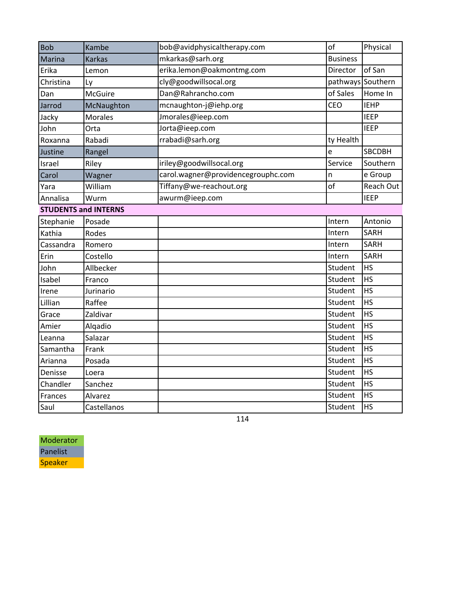| <b>Bob</b> | Kambe                       | bob@avidphysicaltherapy.com        | of                | Physical    |  |  |
|------------|-----------------------------|------------------------------------|-------------------|-------------|--|--|
| Marina     | <b>Karkas</b>               | mkarkas@sarh.org                   | <b>Business</b>   |             |  |  |
| Erika      | Lemon                       | erika.lemon@oakmontmg.com          | Director          | of San      |  |  |
| Christina  | Ly                          | cly@goodwillsocal.org              | pathways Southern |             |  |  |
| Dan        | <b>McGuire</b>              | Dan@Rahrancho.com                  | of Sales          | Home In     |  |  |
| Jarrod     | McNaughton                  | mcnaughton-j@iehp.org              | CEO               | <b>IEHP</b> |  |  |
| Jacky      | <b>Morales</b>              | Jmorales@ieep.com                  |                   | <b>IEEP</b> |  |  |
| John       | Orta                        | Jorta@ieep.com                     |                   | <b>IEEP</b> |  |  |
| Roxanna    | Rabadi                      | rrabadi@sarh.org                   | ty Health         |             |  |  |
| Justine    | Rangel                      |                                    | e                 | SBCDBH      |  |  |
| Israel     | Riley                       | iriley@goodwillsocal.org           | Service           | Southern    |  |  |
| Carol      | Wagner                      | carol.wagner@providencegrouphc.com | n                 | e Group     |  |  |
| Yara       | William                     | Tiffany@we-reachout.org            | of                | Reach Out   |  |  |
| Annalisa   | Wurm                        | awurm@ieep.com                     |                   | <b>IEEP</b> |  |  |
|            | <b>STUDENTS and INTERNS</b> |                                    |                   |             |  |  |
| Stephanie  | Posade                      |                                    | Intern            | Antonio     |  |  |
| Kathia     | Rodes                       |                                    | Intern            | <b>SARH</b> |  |  |
| Cassandra  | Romero                      |                                    | Intern            | <b>SARH</b> |  |  |
| Erin       | Costello                    |                                    | Intern            | <b>SARH</b> |  |  |
| John       | Allbecker                   |                                    | Student           | <b>HS</b>   |  |  |
| Isabel     | Franco                      |                                    | Student           | <b>HS</b>   |  |  |
| Irene      | Jurinario                   |                                    | Student           | <b>HS</b>   |  |  |
| Lillian    | Raffee                      |                                    | Student           | <b>HS</b>   |  |  |
| Grace      | Zaldivar                    |                                    | Student           | <b>HS</b>   |  |  |
| Amier      | Algadio                     |                                    | Student           | <b>HS</b>   |  |  |
| Leanna     | Salazar                     |                                    | Student           | <b>HS</b>   |  |  |
| Samantha   | Frank                       |                                    | Student           | <b>HS</b>   |  |  |
| Arianna    | Posada                      |                                    | Student           | <b>HS</b>   |  |  |
| Denisse    | Loera                       |                                    | Student           | <b>HS</b>   |  |  |
| Chandler   | Sanchez                     |                                    | Student           | <b>HS</b>   |  |  |
| Frances    | Alvarez                     |                                    | Student           | <b>HS</b>   |  |  |
| Saul       | Castellanos                 |                                    | Student           | <b>HS</b>   |  |  |

114

Moderator Panelist Speaker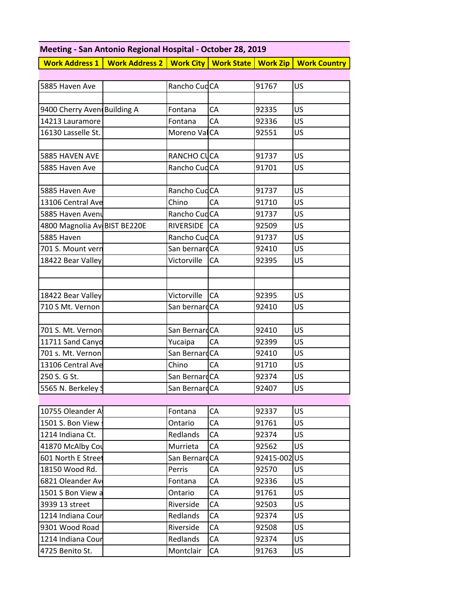# **Meeting ‐ San Antonio Regional Hospital ‐ October 28, 2019**

| Nork Address 1   Work Address 2   Work City   Work State   Work Zip   Work Country |
|------------------------------------------------------------------------------------|
|------------------------------------------------------------------------------------|

| 5885 Haven Ave               | Rancho Cud CA  |    | 91767        | US        |
|------------------------------|----------------|----|--------------|-----------|
|                              |                |    |              |           |
| 9400 Cherry Aven Building A  | Fontana        | CA | 92335        | <b>US</b> |
| 14213 Lauramore              | Fontana        | CA | 92336        | <b>US</b> |
| 16130 Lasselle St.           | Moreno ValCA   |    | 92551        | <b>US</b> |
|                              |                |    |              |           |
| 5885 HAVEN AVE               | RANCHO CUCA    |    | 91737        | <b>US</b> |
| 5885 Haven Ave               | Rancho Cud CA  |    | 91701        | US        |
|                              |                |    |              |           |
| 5885 Haven Ave               | Rancho Cud CA  |    | 91737        | US        |
| 13106 Central Ave            | Chino          | CA | 91710        | US        |
| 5885 Haven Avenu             | Rancho Cud CA  |    | 91737        | US        |
| 4800 Magnolia Av BIST BE220E | RIVERSIDE CA   |    | 92509        | US        |
| <b>5885 Haven</b>            | Rancho Cud CA  |    | 91737        | US        |
| 701 S. Mount vern            | San bernard CA |    | 92410        | <b>US</b> |
| 18422 Bear Valley            | Victorville    | CA | 92395        | US        |
|                              |                |    |              |           |
|                              |                |    |              |           |
| 18422 Bear Valley            | Victorville    | CA | 92395        | <b>US</b> |
| 710 S Mt. Vernon             | San bernard CA |    | 92410        | <b>US</b> |
|                              |                |    |              |           |
| 701 S. Mt. Vernon            | San Bernard CA |    | 92410        | US        |
| 11711 Sand Canyo             | Yucaipa        | CA | 92399        | US        |
| 701 s. Mt. Vernon            | San Bernard CA |    | 92410        | US        |
| 13106 Central Ave            | Chino          | CA | 91710        | US        |
| 250 S. G St.                 | San Bernard CA |    | 92374        | US        |
| 5565 N. Berkeley \$          | San Bernard CA |    | 92407        | US        |
|                              |                |    |              |           |
| 10755 Oleander A             | Fontana        | CA | 92337        | US        |
| 1501 S. Bon View :           | Ontario        | CA | 91761        | US        |
| 1214 Indiana Ct.             | Redlands       | CA | 92374        | US        |
| 41870 McAlby Cou             | Murrieta       | СA | 92562        | <b>US</b> |
| 601 North E Street           | San Bernard CA |    | 92415-002 US |           |
| 18150 Wood Rd.               | Perris         | CA | 92570        | <b>US</b> |
| 6821 Oleander Av             | Fontana        | СA | 92336        | <b>US</b> |
| 1501 S Bon View a            | Ontario        | СA | 91761        | US        |
| 3939 13 street               | Riverside      | СA | 92503        | <b>US</b> |
| 1214 Indiana Cour            | Redlands       | СA | 92374        | US        |
| 9301 Wood Road               | Riverside      | СA | 92508        | US        |
| 1214 Indiana Cour            | Redlands       | СA | 92374        | US        |
| 4725 Benito St.              | Montclair      | СA | 91763        | US.       |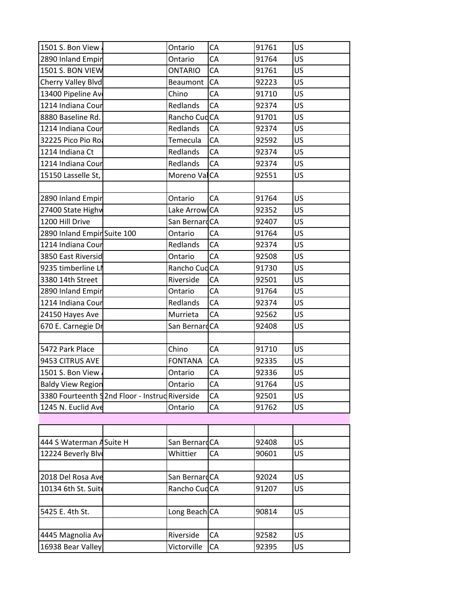| CA<br>2890 Inland Empir<br>91764<br>US<br>Ontario<br><b>1501 S. BON VIEW</b><br>US<br><b>ONTARIO</b><br>CA<br>91761<br>CA<br>Cherry Valley Blvd<br>92223<br>US<br>Beaumont<br>13400 Pipeline Av<br>Chino<br>CA<br>91710<br>US<br>1214 Indiana Cour<br>Redlands<br>CA<br>US<br>92374<br>8880 Baseline Rd.<br>Rancho Cud CA<br>91701<br>US<br>1214 Indiana Cour<br>Redlands<br>CA<br>US<br>92374<br>32225 Pico Pio Roa<br>Temecula<br>CA<br>92592<br>US<br>Redlands<br>CA<br>US<br>1214 Indiana Ct<br>92374<br>1214 Indiana Cour<br>Redlands<br>92374<br>US<br>CA<br>15150 Lasselle St,<br>Moreno ValCA<br>US<br>92551<br>2890 Inland Empir<br>CA<br>91764<br>US<br>Ontario<br>27400 State Highw<br>92352<br>Lake Arrow CA<br>US<br>1200 Hill Drive<br>92407<br>US<br>San Bernard CA<br>CA<br>2890 Inland Empir Suite 100<br>91764<br>US<br>Ontario<br>1214 Indiana Cour<br>US<br>Redlands<br>CA<br>92374<br>CA<br>3850 East Riversid<br>Ontario<br>92508<br>US<br>9235 timberline LI<br>Rancho Cud CA<br>91730<br>US<br>3380 14th Street<br>Riverside<br>CA<br>92501<br>US<br>2890 Inland Empir<br>Ontario<br>CA<br>91764<br>US<br>1214 Indiana Cour<br>Redlands<br>CA<br>US<br>92374<br>Murrieta<br>24150 Hayes Ave<br>CA<br>92562<br>US<br>670 E. Carnegie Dr<br>San Bernard CA<br>92408<br>US<br>Chino<br>CA<br>5472 Park Place<br>91710<br>US<br>9453 CITRUS AVE<br>92335<br><b>FONTANA</b><br>CA<br>US<br>1501 S. Bon View<br>СA<br>92336<br>US<br>Ontario<br><b>Baldy View Region</b><br>CA<br>91764<br>US<br>Ontario<br>3380 Fourteenth 92nd Floor - Instrud Riverside<br>СA<br>92501<br>US<br>1245 N. Euclid Ave<br>СA<br>91762<br>US<br>Ontario<br>444 S Waterman A Suite H<br>San Bernard CA<br>92408<br>US<br>12224 Beverly Blv<br>CA<br>Whittier<br>90601<br>US<br>2018 Del Rosa Ave<br>San Bernard CA<br>92024<br>US.<br>10134 6th St. Suite<br>Rancho Cud CA<br>91207<br>US<br>5425 E. 4th St.<br>Long Beach CA<br>90814<br>US<br>4445 Magnolia Av<br>Riverside<br>CA<br>92582<br>US | 1501 S. Bon View  | Ontario     | CA | 91761 | US |
|---------------------------------------------------------------------------------------------------------------------------------------------------------------------------------------------------------------------------------------------------------------------------------------------------------------------------------------------------------------------------------------------------------------------------------------------------------------------------------------------------------------------------------------------------------------------------------------------------------------------------------------------------------------------------------------------------------------------------------------------------------------------------------------------------------------------------------------------------------------------------------------------------------------------------------------------------------------------------------------------------------------------------------------------------------------------------------------------------------------------------------------------------------------------------------------------------------------------------------------------------------------------------------------------------------------------------------------------------------------------------------------------------------------------------------------------------------------------------------------------------------------------------------------------------------------------------------------------------------------------------------------------------------------------------------------------------------------------------------------------------------------------------------------------------------------------------------------------------------------------------------------------------------------------------------------------------------------------------------------------------|-------------------|-------------|----|-------|----|
|                                                                                                                                                                                                                                                                                                                                                                                                                                                                                                                                                                                                                                                                                                                                                                                                                                                                                                                                                                                                                                                                                                                                                                                                                                                                                                                                                                                                                                                                                                                                                                                                                                                                                                                                                                                                                                                                                                                                                                                                   |                   |             |    |       |    |
|                                                                                                                                                                                                                                                                                                                                                                                                                                                                                                                                                                                                                                                                                                                                                                                                                                                                                                                                                                                                                                                                                                                                                                                                                                                                                                                                                                                                                                                                                                                                                                                                                                                                                                                                                                                                                                                                                                                                                                                                   |                   |             |    |       |    |
|                                                                                                                                                                                                                                                                                                                                                                                                                                                                                                                                                                                                                                                                                                                                                                                                                                                                                                                                                                                                                                                                                                                                                                                                                                                                                                                                                                                                                                                                                                                                                                                                                                                                                                                                                                                                                                                                                                                                                                                                   |                   |             |    |       |    |
|                                                                                                                                                                                                                                                                                                                                                                                                                                                                                                                                                                                                                                                                                                                                                                                                                                                                                                                                                                                                                                                                                                                                                                                                                                                                                                                                                                                                                                                                                                                                                                                                                                                                                                                                                                                                                                                                                                                                                                                                   |                   |             |    |       |    |
|                                                                                                                                                                                                                                                                                                                                                                                                                                                                                                                                                                                                                                                                                                                                                                                                                                                                                                                                                                                                                                                                                                                                                                                                                                                                                                                                                                                                                                                                                                                                                                                                                                                                                                                                                                                                                                                                                                                                                                                                   |                   |             |    |       |    |
|                                                                                                                                                                                                                                                                                                                                                                                                                                                                                                                                                                                                                                                                                                                                                                                                                                                                                                                                                                                                                                                                                                                                                                                                                                                                                                                                                                                                                                                                                                                                                                                                                                                                                                                                                                                                                                                                                                                                                                                                   |                   |             |    |       |    |
|                                                                                                                                                                                                                                                                                                                                                                                                                                                                                                                                                                                                                                                                                                                                                                                                                                                                                                                                                                                                                                                                                                                                                                                                                                                                                                                                                                                                                                                                                                                                                                                                                                                                                                                                                                                                                                                                                                                                                                                                   |                   |             |    |       |    |
|                                                                                                                                                                                                                                                                                                                                                                                                                                                                                                                                                                                                                                                                                                                                                                                                                                                                                                                                                                                                                                                                                                                                                                                                                                                                                                                                                                                                                                                                                                                                                                                                                                                                                                                                                                                                                                                                                                                                                                                                   |                   |             |    |       |    |
|                                                                                                                                                                                                                                                                                                                                                                                                                                                                                                                                                                                                                                                                                                                                                                                                                                                                                                                                                                                                                                                                                                                                                                                                                                                                                                                                                                                                                                                                                                                                                                                                                                                                                                                                                                                                                                                                                                                                                                                                   |                   |             |    |       |    |
|                                                                                                                                                                                                                                                                                                                                                                                                                                                                                                                                                                                                                                                                                                                                                                                                                                                                                                                                                                                                                                                                                                                                                                                                                                                                                                                                                                                                                                                                                                                                                                                                                                                                                                                                                                                                                                                                                                                                                                                                   |                   |             |    |       |    |
|                                                                                                                                                                                                                                                                                                                                                                                                                                                                                                                                                                                                                                                                                                                                                                                                                                                                                                                                                                                                                                                                                                                                                                                                                                                                                                                                                                                                                                                                                                                                                                                                                                                                                                                                                                                                                                                                                                                                                                                                   |                   |             |    |       |    |
|                                                                                                                                                                                                                                                                                                                                                                                                                                                                                                                                                                                                                                                                                                                                                                                                                                                                                                                                                                                                                                                                                                                                                                                                                                                                                                                                                                                                                                                                                                                                                                                                                                                                                                                                                                                                                                                                                                                                                                                                   |                   |             |    |       |    |
|                                                                                                                                                                                                                                                                                                                                                                                                                                                                                                                                                                                                                                                                                                                                                                                                                                                                                                                                                                                                                                                                                                                                                                                                                                                                                                                                                                                                                                                                                                                                                                                                                                                                                                                                                                                                                                                                                                                                                                                                   |                   |             |    |       |    |
|                                                                                                                                                                                                                                                                                                                                                                                                                                                                                                                                                                                                                                                                                                                                                                                                                                                                                                                                                                                                                                                                                                                                                                                                                                                                                                                                                                                                                                                                                                                                                                                                                                                                                                                                                                                                                                                                                                                                                                                                   |                   |             |    |       |    |
|                                                                                                                                                                                                                                                                                                                                                                                                                                                                                                                                                                                                                                                                                                                                                                                                                                                                                                                                                                                                                                                                                                                                                                                                                                                                                                                                                                                                                                                                                                                                                                                                                                                                                                                                                                                                                                                                                                                                                                                                   |                   |             |    |       |    |
|                                                                                                                                                                                                                                                                                                                                                                                                                                                                                                                                                                                                                                                                                                                                                                                                                                                                                                                                                                                                                                                                                                                                                                                                                                                                                                                                                                                                                                                                                                                                                                                                                                                                                                                                                                                                                                                                                                                                                                                                   |                   |             |    |       |    |
|                                                                                                                                                                                                                                                                                                                                                                                                                                                                                                                                                                                                                                                                                                                                                                                                                                                                                                                                                                                                                                                                                                                                                                                                                                                                                                                                                                                                                                                                                                                                                                                                                                                                                                                                                                                                                                                                                                                                                                                                   |                   |             |    |       |    |
|                                                                                                                                                                                                                                                                                                                                                                                                                                                                                                                                                                                                                                                                                                                                                                                                                                                                                                                                                                                                                                                                                                                                                                                                                                                                                                                                                                                                                                                                                                                                                                                                                                                                                                                                                                                                                                                                                                                                                                                                   |                   |             |    |       |    |
|                                                                                                                                                                                                                                                                                                                                                                                                                                                                                                                                                                                                                                                                                                                                                                                                                                                                                                                                                                                                                                                                                                                                                                                                                                                                                                                                                                                                                                                                                                                                                                                                                                                                                                                                                                                                                                                                                                                                                                                                   |                   |             |    |       |    |
|                                                                                                                                                                                                                                                                                                                                                                                                                                                                                                                                                                                                                                                                                                                                                                                                                                                                                                                                                                                                                                                                                                                                                                                                                                                                                                                                                                                                                                                                                                                                                                                                                                                                                                                                                                                                                                                                                                                                                                                                   |                   |             |    |       |    |
|                                                                                                                                                                                                                                                                                                                                                                                                                                                                                                                                                                                                                                                                                                                                                                                                                                                                                                                                                                                                                                                                                                                                                                                                                                                                                                                                                                                                                                                                                                                                                                                                                                                                                                                                                                                                                                                                                                                                                                                                   |                   |             |    |       |    |
|                                                                                                                                                                                                                                                                                                                                                                                                                                                                                                                                                                                                                                                                                                                                                                                                                                                                                                                                                                                                                                                                                                                                                                                                                                                                                                                                                                                                                                                                                                                                                                                                                                                                                                                                                                                                                                                                                                                                                                                                   |                   |             |    |       |    |
|                                                                                                                                                                                                                                                                                                                                                                                                                                                                                                                                                                                                                                                                                                                                                                                                                                                                                                                                                                                                                                                                                                                                                                                                                                                                                                                                                                                                                                                                                                                                                                                                                                                                                                                                                                                                                                                                                                                                                                                                   |                   |             |    |       |    |
|                                                                                                                                                                                                                                                                                                                                                                                                                                                                                                                                                                                                                                                                                                                                                                                                                                                                                                                                                                                                                                                                                                                                                                                                                                                                                                                                                                                                                                                                                                                                                                                                                                                                                                                                                                                                                                                                                                                                                                                                   |                   |             |    |       |    |
|                                                                                                                                                                                                                                                                                                                                                                                                                                                                                                                                                                                                                                                                                                                                                                                                                                                                                                                                                                                                                                                                                                                                                                                                                                                                                                                                                                                                                                                                                                                                                                                                                                                                                                                                                                                                                                                                                                                                                                                                   |                   |             |    |       |    |
|                                                                                                                                                                                                                                                                                                                                                                                                                                                                                                                                                                                                                                                                                                                                                                                                                                                                                                                                                                                                                                                                                                                                                                                                                                                                                                                                                                                                                                                                                                                                                                                                                                                                                                                                                                                                                                                                                                                                                                                                   |                   |             |    |       |    |
|                                                                                                                                                                                                                                                                                                                                                                                                                                                                                                                                                                                                                                                                                                                                                                                                                                                                                                                                                                                                                                                                                                                                                                                                                                                                                                                                                                                                                                                                                                                                                                                                                                                                                                                                                                                                                                                                                                                                                                                                   |                   |             |    |       |    |
|                                                                                                                                                                                                                                                                                                                                                                                                                                                                                                                                                                                                                                                                                                                                                                                                                                                                                                                                                                                                                                                                                                                                                                                                                                                                                                                                                                                                                                                                                                                                                                                                                                                                                                                                                                                                                                                                                                                                                                                                   |                   |             |    |       |    |
|                                                                                                                                                                                                                                                                                                                                                                                                                                                                                                                                                                                                                                                                                                                                                                                                                                                                                                                                                                                                                                                                                                                                                                                                                                                                                                                                                                                                                                                                                                                                                                                                                                                                                                                                                                                                                                                                                                                                                                                                   |                   |             |    |       |    |
|                                                                                                                                                                                                                                                                                                                                                                                                                                                                                                                                                                                                                                                                                                                                                                                                                                                                                                                                                                                                                                                                                                                                                                                                                                                                                                                                                                                                                                                                                                                                                                                                                                                                                                                                                                                                                                                                                                                                                                                                   |                   |             |    |       |    |
|                                                                                                                                                                                                                                                                                                                                                                                                                                                                                                                                                                                                                                                                                                                                                                                                                                                                                                                                                                                                                                                                                                                                                                                                                                                                                                                                                                                                                                                                                                                                                                                                                                                                                                                                                                                                                                                                                                                                                                                                   |                   |             |    |       |    |
|                                                                                                                                                                                                                                                                                                                                                                                                                                                                                                                                                                                                                                                                                                                                                                                                                                                                                                                                                                                                                                                                                                                                                                                                                                                                                                                                                                                                                                                                                                                                                                                                                                                                                                                                                                                                                                                                                                                                                                                                   |                   |             |    |       |    |
|                                                                                                                                                                                                                                                                                                                                                                                                                                                                                                                                                                                                                                                                                                                                                                                                                                                                                                                                                                                                                                                                                                                                                                                                                                                                                                                                                                                                                                                                                                                                                                                                                                                                                                                                                                                                                                                                                                                                                                                                   |                   |             |    |       |    |
|                                                                                                                                                                                                                                                                                                                                                                                                                                                                                                                                                                                                                                                                                                                                                                                                                                                                                                                                                                                                                                                                                                                                                                                                                                                                                                                                                                                                                                                                                                                                                                                                                                                                                                                                                                                                                                                                                                                                                                                                   |                   |             |    |       |    |
|                                                                                                                                                                                                                                                                                                                                                                                                                                                                                                                                                                                                                                                                                                                                                                                                                                                                                                                                                                                                                                                                                                                                                                                                                                                                                                                                                                                                                                                                                                                                                                                                                                                                                                                                                                                                                                                                                                                                                                                                   |                   |             |    |       |    |
|                                                                                                                                                                                                                                                                                                                                                                                                                                                                                                                                                                                                                                                                                                                                                                                                                                                                                                                                                                                                                                                                                                                                                                                                                                                                                                                                                                                                                                                                                                                                                                                                                                                                                                                                                                                                                                                                                                                                                                                                   |                   |             |    |       |    |
|                                                                                                                                                                                                                                                                                                                                                                                                                                                                                                                                                                                                                                                                                                                                                                                                                                                                                                                                                                                                                                                                                                                                                                                                                                                                                                                                                                                                                                                                                                                                                                                                                                                                                                                                                                                                                                                                                                                                                                                                   |                   |             |    |       |    |
|                                                                                                                                                                                                                                                                                                                                                                                                                                                                                                                                                                                                                                                                                                                                                                                                                                                                                                                                                                                                                                                                                                                                                                                                                                                                                                                                                                                                                                                                                                                                                                                                                                                                                                                                                                                                                                                                                                                                                                                                   |                   |             |    |       |    |
|                                                                                                                                                                                                                                                                                                                                                                                                                                                                                                                                                                                                                                                                                                                                                                                                                                                                                                                                                                                                                                                                                                                                                                                                                                                                                                                                                                                                                                                                                                                                                                                                                                                                                                                                                                                                                                                                                                                                                                                                   |                   |             |    |       |    |
|                                                                                                                                                                                                                                                                                                                                                                                                                                                                                                                                                                                                                                                                                                                                                                                                                                                                                                                                                                                                                                                                                                                                                                                                                                                                                                                                                                                                                                                                                                                                                                                                                                                                                                                                                                                                                                                                                                                                                                                                   |                   |             |    |       |    |
|                                                                                                                                                                                                                                                                                                                                                                                                                                                                                                                                                                                                                                                                                                                                                                                                                                                                                                                                                                                                                                                                                                                                                                                                                                                                                                                                                                                                                                                                                                                                                                                                                                                                                                                                                                                                                                                                                                                                                                                                   |                   |             |    |       |    |
|                                                                                                                                                                                                                                                                                                                                                                                                                                                                                                                                                                                                                                                                                                                                                                                                                                                                                                                                                                                                                                                                                                                                                                                                                                                                                                                                                                                                                                                                                                                                                                                                                                                                                                                                                                                                                                                                                                                                                                                                   |                   |             |    |       |    |
|                                                                                                                                                                                                                                                                                                                                                                                                                                                                                                                                                                                                                                                                                                                                                                                                                                                                                                                                                                                                                                                                                                                                                                                                                                                                                                                                                                                                                                                                                                                                                                                                                                                                                                                                                                                                                                                                                                                                                                                                   | 16938 Bear Valley | Victorville | CA | 92395 | US |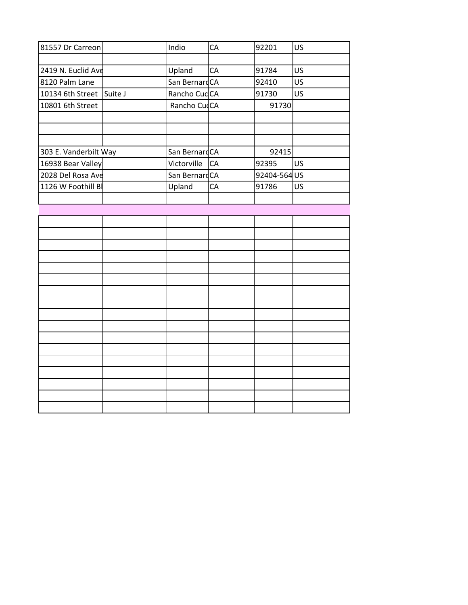| 81557 Dr Carreon      |         | Indio          | CA | 92201        | US        |
|-----------------------|---------|----------------|----|--------------|-----------|
|                       |         |                |    |              |           |
| 2419 N. Euclid Ave    |         | Upland         | CA | 91784        | US        |
| 8120 Palm Lane        |         | San Bernard CA |    | 92410        | US        |
| 10134 6th Street      | Suite J | Rancho Cud CA  |    | 91730        | US        |
| 10801 6th Street      |         | Rancho CuiCA   |    | 91730        |           |
|                       |         |                |    |              |           |
|                       |         |                |    |              |           |
|                       |         |                |    |              |           |
| 303 E. Vanderbilt Way |         | San Bernard CA |    | 92415        |           |
| 16938 Bear Valley     |         | Victorville    | CA | 92395        | US        |
| 2028 Del Rosa Ave     |         | San Bernard CA |    | 92404-564 US |           |
| 1126 W Foothill Bl    |         | Upland         | CA | 91786        | <b>US</b> |
|                       |         |                |    |              |           |
|                       |         |                |    |              |           |
|                       |         |                |    |              |           |
|                       |         |                |    |              |           |
|                       |         |                |    |              |           |
|                       |         |                |    |              |           |
|                       |         |                |    |              |           |
|                       |         |                |    |              |           |
|                       |         |                |    |              |           |
|                       |         |                |    |              |           |
|                       |         |                |    |              |           |
|                       |         |                |    |              |           |
|                       |         |                |    |              |           |
|                       |         |                |    |              |           |
|                       |         |                |    |              |           |
|                       |         |                |    |              |           |
|                       |         |                |    |              |           |
|                       |         |                |    |              |           |
|                       |         |                |    |              |           |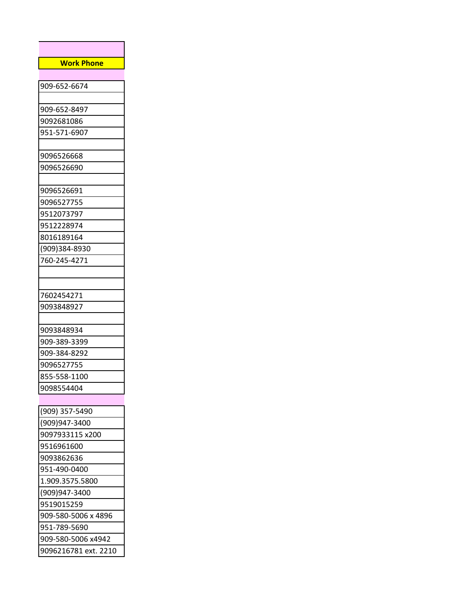| <b>Work Phone</b> |
|-------------------|
|                   |
| 909-652-6674      |
|                   |
| 909-652-8497      |
| 9092681086        |
| 951-571-6907      |
|                   |
| 9096526668        |
| 9096526690        |
|                   |
| 9096526691        |
| 9096527755        |
| 9512073797        |
| 9512228974        |
| 8016189164        |
| (909)384-8930     |
| 760-245-4271      |
|                   |
|                   |
| 7602454271        |
| 9093848927        |
|                   |
| 9093848934        |
| 909-389-3399      |
| 909-384-8292      |
| 9096527755        |
| 855-558-1100      |
| 9098554404        |
|                   |
| (909) 357-5490    |
| (909)947-3400     |
| 9097933115 x200   |
| 9516961600        |
| 9093862636        |

951‐490‐0400 1.909.3575.5800 (909)947‐3400 9519015259

951‐789‐5690

909‐580‐5006 x 4896

909‐580‐5006 x4942 9096216781 ext. 2210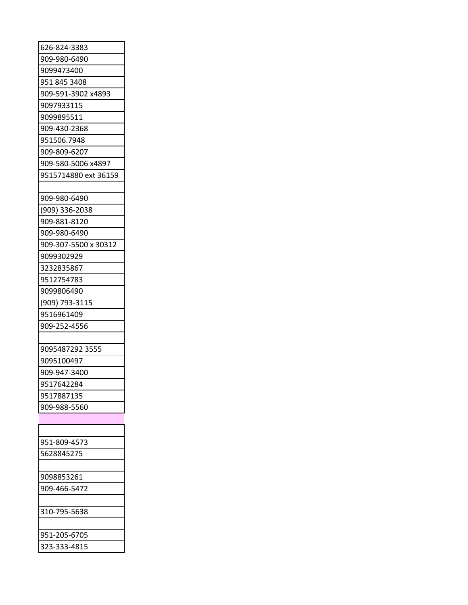| 626-824-3383         |
|----------------------|
| 909-980-6490         |
| 9099473400           |
| 951 845 3408         |
| 909-591-3902 x4893   |
| 9097933115           |
| 9099895511           |
| 909-430-2368         |
| 951506.7948          |
| 909-809-6207         |
| 909-580-5006 x4897   |
| 9515714880 ext 36159 |
|                      |
| 909-980-6490         |
| (909) 336-2038       |
| 909-881-8120         |
| 909-980-6490         |
| 909-307-5500 x 30312 |
| 9099302929           |
| 3232835867           |
| 9512754783           |
| 9099806490           |
| (909) 793-3115       |
| 9516961409           |
| 909-252-4556         |
|                      |
| 9095487292 3555      |
| 9095100497           |
| 909-947-3400         |
| 9517642284           |
| 9517887135           |
| 909-988-5560         |
|                      |
|                      |
| 951-809-4573         |
| 5628845275           |
|                      |
| 9098853261           |
| 909-466-5472         |
|                      |
| 310-795-5638         |

951‐205‐6705 323‐333‐4815